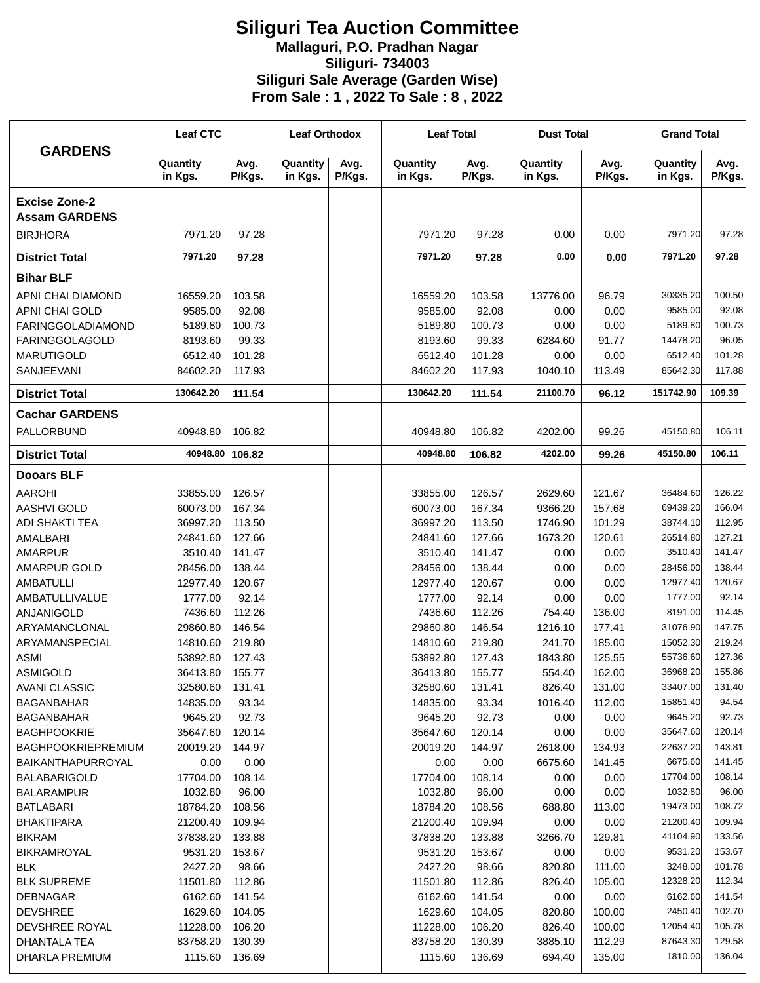## **Siliguri Tea Auction Committee Mallaguri, P.O. Pradhan Nagar Siliguri- 734003 Siliguri Sale Average (Garden Wise) From Sale : 1 , 2022 To Sale : 8 , 2022**

| <b>GARDENS</b>                          | <b>Leaf CTC</b>     |                  | <b>Leaf Orthodox</b> |                | <b>Leaf Total</b>   |                 | <b>Dust Total</b>   |                | <b>Grand Total</b>  |                  |
|-----------------------------------------|---------------------|------------------|----------------------|----------------|---------------------|-----------------|---------------------|----------------|---------------------|------------------|
|                                         | Quantity<br>in Kgs. | Avg.<br>P/Kgs.   | Quantity<br>in Kgs.  | Avg.<br>P/Kgs. | Quantity<br>in Kgs. | Avg.<br>P/Kgs.  | Quantity<br>in Kgs. | Avg.<br>P/Kgs. | Quantity<br>in Kgs. | Avg.<br>P/Kgs.   |
| <b>Excise Zone-2</b>                    |                     |                  |                      |                |                     |                 |                     |                |                     |                  |
| <b>Assam GARDENS</b><br><b>BIRJHORA</b> | 7971.20             | 97.28            |                      |                | 7971.20             | 97.28           | 0.00                | 0.00           | 7971.20             | 97.28            |
| <b>District Total</b>                   | 7971.20             | 97.28            |                      |                | 7971.20             | 97.28           | 0.00                | 0.00           | 7971.20             | 97.28            |
|                                         |                     |                  |                      |                |                     |                 |                     |                |                     |                  |
| <b>Bihar BLF</b>                        |                     |                  |                      |                |                     |                 |                     |                |                     |                  |
| APNI CHAI DIAMOND                       | 16559.20            | 103.58           |                      |                | 16559.20            | 103.58          | 13776.00            | 96.79          | 30335.20            | 100.50           |
| <b>APNI CHAI GOLD</b>                   | 9585.00             | 92.08            |                      |                | 9585.00             | 92.08           | 0.00                | 0.00           | 9585.00             | 92.08            |
| <b>FARINGGOLADIAMOND</b>                | 5189.80             | 100.73           |                      |                | 5189.80             | 100.73          | 0.00                | 0.00           | 5189.80             | 100.73           |
| <b>FARINGGOLAGOLD</b>                   | 8193.60             | 99.33            |                      |                | 8193.60             | 99.33           | 6284.60             | 91.77          | 14478.20            | 96.05            |
| <b>MARUTIGOLD</b><br>SANJEEVANI         | 6512.40<br>84602.20 | 101.28<br>117.93 |                      |                | 6512.40<br>84602.20 | 101.28          | 0.00                | 0.00<br>113.49 | 6512.40<br>85642.30 | 101.28<br>117.88 |
|                                         |                     |                  |                      |                |                     | 117.93          | 1040.10             |                |                     |                  |
| <b>District Total</b>                   | 130642.20           | 111.54           |                      |                | 130642.20           | 111.54          | 21100.70            | 96.12          | 151742.90           | 109.39           |
| <b>Cachar GARDENS</b>                   |                     |                  |                      |                |                     |                 |                     |                |                     |                  |
| PALLORBUND                              | 40948.80            | 106.82           |                      |                | 40948.80            | 106.82          | 4202.00             | 99.26          | 45150.80            | 106.11           |
| <b>District Total</b>                   | 40948.80            | 106.82           |                      |                | 40948.80            | 106.82          | 4202.00             | 99.26          | 45150.80            | 106.11           |
| <b>Dooars BLF</b>                       |                     |                  |                      |                |                     |                 |                     |                |                     |                  |
| <b>AAROHI</b>                           | 33855.00            | 126.57           |                      |                | 33855.00            | 126.57          | 2629.60             | 121.67         | 36484.60            | 126.22           |
| <b>AASHVI GOLD</b>                      | 60073.00            | 167.34           |                      |                | 60073.00            | 167.34          | 9366.20             | 157.68         | 69439.20            | 166.04           |
| <b>ADI SHAKTI TEA</b>                   | 36997.20            | 113.50           |                      |                | 36997.20            | 113.50          | 1746.90             | 101.29         | 38744.10            | 112.95           |
| AMALBARI                                | 24841.60            | 127.66           |                      |                | 24841.60            | 127.66          | 1673.20             | 120.61         | 26514.80            | 127.21           |
| <b>AMARPUR</b>                          | 3510.40             | 141.47           |                      |                | 3510.40             | 141.47          | 0.00                | 0.00           | 3510.40             | 141.47           |
| <b>AMARPUR GOLD</b>                     | 28456.00            | 138.44           |                      |                | 28456.00            | 138.44          | 0.00                | 0.00           | 28456.00            | 138.44           |
| <b>AMBATULLI</b>                        | 12977.40            | 120.67           |                      |                | 12977.40            | 120.67          | 0.00                | 0.00           | 12977.40            | 120.67           |
| <b>AMBATULLIVALUE</b>                   | 1777.00             | 92.14            |                      |                | 1777.00             | 92.14           | 0.00                | 0.00           | 1777.00             | 92.14            |
| ANJANIGOLD                              | 7436.60             | 112.26           |                      |                | 7436.60             | 112.26          | 754.40              | 136.00         | 8191.00             | 114.45           |
| ARYAMANCLONAL                           | 29860.80            | 146.54           |                      |                | 29860.80            | 146.54          | 1216.10             | 177.41         | 31076.90            | 147.75           |
| ARYAMANSPECIAL                          | 14810.60            | 219.80           |                      |                | 14810.60            | 219.80          | 241.70              | 185.00         | 15052.30            | 219.24           |
| <b>ASMI</b>                             | 53892.80            | 127.43           |                      |                | 53892.80            | 127.43          | 1843.80             | 125.55         | 55736.60            | 127.36           |
| <b>ASMIGOLD</b>                         | 36413.80            | 155.77           |                      |                | 36413.80            | 155.77          | 554.40              | 162.00         | 36968.20            | 155.86           |
| <b>AVANI CLASSIC</b>                    | 32580.60            | 131.41           |                      |                | 32580.60            | 131.41          | 826.40              | 131.00         | 33407.00            | 131.40           |
| <b>BAGANBAHAR</b>                       | 14835.00            | 93.34            |                      |                | 14835.00            | 93.34           | 1016.40             | 112.00         | 15851.40<br>9645.20 | 94.54<br>92.73   |
| <b>BAGANBAHAR</b><br><b>BAGHPOOKRIE</b> | 9645.20<br>35647.60 | 92.73<br>120.14  |                      |                | 9645.20<br>35647.60 | 92.73<br>120.14 | 0.00<br>0.00        | 0.00<br>0.00   | 35647.60            | 120.14           |
| <b>BAGHPOOKRIEPREMIUM</b>               | 20019.20            | 144.97           |                      |                | 20019.20            | 144.97          | 2618.00             | 134.93         | 22637.20            | 143.81           |
| BAIKANTHAPURROYAL                       | 0.00                | 0.00             |                      |                | 0.00                | 0.00            | 6675.60             | 141.45         | 6675.60             | 141.45           |
| <b>BALABARIGOLD</b>                     | 17704.00            | 108.14           |                      |                | 17704.00            | 108.14          | 0.00                | 0.00           | 17704.00            | 108.14           |
| <b>BALARAMPUR</b>                       | 1032.80             | 96.00            |                      |                | 1032.80             | 96.00           | 0.00                | 0.00           | 1032.80             | 96.00            |
| <b>BATLABARI</b>                        | 18784.20            | 108.56           |                      |                | 18784.20            | 108.56          | 688.80              | 113.00         | 19473.00            | 108.72           |
| <b>BHAKTIPARA</b>                       | 21200.40            | 109.94           |                      |                | 21200.40            | 109.94          | 0.00                | 0.00           | 21200.40            | 109.94           |
| <b>BIKRAM</b>                           | 37838.20            | 133.88           |                      |                | 37838.20            | 133.88          | 3266.70             | 129.81         | 41104.90            | 133.56           |
| <b>BIKRAMROYAL</b>                      | 9531.20             | 153.67           |                      |                | 9531.20             | 153.67          | 0.00                | 0.00           | 9531.20             | 153.67           |
| <b>BLK</b>                              | 2427.20             | 98.66            |                      |                | 2427.20             | 98.66           | 820.80              | 111.00         | 3248.00             | 101.78           |
| <b>BLK SUPREME</b>                      | 11501.80            | 112.86           |                      |                | 11501.80            | 112.86          | 826.40              | 105.00         | 12328.20            | 112.34           |
| <b>DEBNAGAR</b>                         | 6162.60             | 141.54           |                      |                | 6162.60             | 141.54          | 0.00                | 0.00           | 6162.60             | 141.54           |
| <b>DEVSHREE</b>                         | 1629.60             | 104.05           |                      |                | 1629.60             | 104.05          | 820.80              | 100.00         | 2450.40             | 102.70           |
| DEVSHREE ROYAL                          | 11228.00            | 106.20           |                      |                | 11228.00            | 106.20          | 826.40              | 100.00         | 12054.40            | 105.78           |
| DHANTALA TEA                            | 83758.20            | 130.39           |                      |                | 83758.20            | 130.39          | 3885.10             | 112.29         | 87643.30            | 129.58           |
| DHARLA PREMIUM                          | 1115.60             | 136.69           |                      |                | 1115.60             | 136.69          | 694.40              | 135.00         | 1810.00             | 136.04           |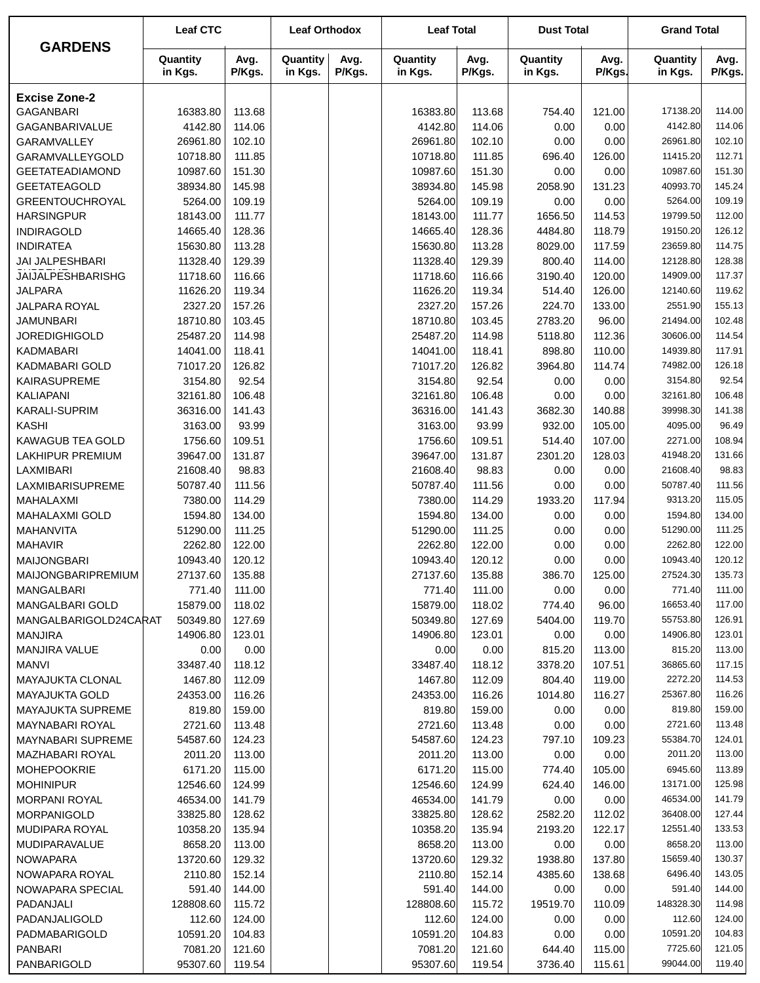|                                 | <b>Leaf CTC</b>     |                | <b>Leaf Orthodox</b> |                | <b>Leaf Total</b>   |                | <b>Dust Total</b>   |                | <b>Grand Total</b>   |                  |
|---------------------------------|---------------------|----------------|----------------------|----------------|---------------------|----------------|---------------------|----------------|----------------------|------------------|
| <b>GARDENS</b>                  | Quantity<br>in Kgs. | Avg.<br>P/Kgs. | Quantity<br>in Kgs.  | Avg.<br>P/Kgs. | Quantity<br>in Kgs. | Avg.<br>P/Kgs. | Quantity<br>in Kgs. | Avg.<br>P/Kgs. | Quantity<br>in Kgs.  | Avg.<br>P/Kgs.   |
| <b>Excise Zone-2</b>            |                     |                |                      |                |                     |                |                     |                |                      |                  |
| <b>GAGANBARI</b>                | 16383.80            | 113.68         |                      |                | 16383.80            | 113.68         | 754.40              | 121.00         | 17138.20             | 114.00           |
| GAGANBARIVALUE                  | 4142.80             | 114.06         |                      |                | 4142.80             | 114.06         | 0.00                | 0.00           | 4142.80              | 114.06           |
| GARAMVALLEY                     | 26961.80            | 102.10         |                      |                | 26961.80            | 102.10         | 0.00                | 0.00           | 26961.80             | 102.10           |
| GARAMVALLEYGOLD                 | 10718.80            | 111.85         |                      |                | 10718.80            | 111.85         | 696.40              | 126.00         | 11415.20             | 112.71           |
| <b>GEETATEADIAMOND</b>          | 10987.60            | 151.30         |                      |                | 10987.60            | 151.30         | 0.00                | 0.00           | 10987.60             | 151.30           |
| <b>GEETATEAGOLD</b>             | 38934.80            | 145.98         |                      |                | 38934.80            | 145.98         | 2058.90             | 131.23         | 40993.70             | 145.24           |
| <b>GREENTOUCHROYAL</b>          | 5264.00             | 109.19         |                      |                | 5264.00             | 109.19         | 0.00                | 0.00           | 5264.00              | 109.19           |
| <b>HARSINGPUR</b>               | 18143.00            | 111.77         |                      |                | 18143.00            | 111.77         | 1656.50             | 114.53         | 19799.50             | 112.00           |
| <b>INDIRAGOLD</b>               | 14665.40            | 128.36         |                      |                | 14665.40            | 128.36         | 4484.80             | 118.79         | 19150.20             | 126.12           |
| <b>INDIRATEA</b>                | 15630.80            | 113.28         |                      |                | 15630.80            | 113.28         | 8029.00             | 117.59         | 23659.80             | 114.75           |
| JAI JALPESHBARI                 | 11328.40            | 129.39         |                      |                | 11328.40            | 129.39         | 800.40              | 114.00         | 12128.80             | 128.38           |
| JAIJALPESHBARISHG               | 11718.60            | 116.66         |                      |                | 11718.60            | 116.66         | 3190.40             | 120.00         | 14909.00             | 117.37           |
| <b>JALPARA</b>                  | 11626.20            | 119.34         |                      |                | 11626.20            | 119.34         | 514.40              | 126.00         | 12140.60             | 119.62           |
| JALPARA ROYAL                   | 2327.20             | 157.26         |                      |                | 2327.20             | 157.26         | 224.70              | 133.00         | 2551.90              | 155.13           |
| <b>JAMUNBARI</b>                | 18710.80            | 103.45         |                      |                | 18710.80            | 103.45         | 2783.20             | 96.00          | 21494.00             | 102.48           |
| <b>JOREDIGHIGOLD</b>            | 25487.20            | 114.98         |                      |                | 25487.20            | 114.98         | 5118.80             | 112.36         | 30606.00             | 114.54           |
| <b>KADMABARI</b>                | 14041.00            | 118.41         |                      |                | 14041.00            | 118.41         | 898.80              | 110.00         | 14939.80             | 117.91           |
| KADMABARI GOLD                  | 71017.20            | 126.82         |                      |                | 71017.20            | 126.82         | 3964.80             | 114.74         | 74982.00             | 126.18           |
| KAIRASUPREME                    | 3154.80             | 92.54          |                      |                | 3154.80             | 92.54          | 0.00                | 0.00           | 3154.80              | 92.54            |
| <b>KALIAPANI</b>                | 32161.80            | 106.48         |                      |                | 32161.80            | 106.48         | 0.00                | 0.00           | 32161.80             | 106.48           |
| <b>KARALI-SUPRIM</b>            | 36316.00            | 141.43         |                      |                | 36316.00            | 141.43         | 3682.30             | 140.88         | 39998.30             | 141.38           |
| <b>KASHI</b>                    | 3163.00             | 93.99          |                      |                | 3163.00             | 93.99          | 932.00              | 105.00         | 4095.00              | 96.49            |
| <b>KAWAGUB TEA GOLD</b>         | 1756.60             | 109.51         |                      |                | 1756.60             | 109.51         | 514.40              | 107.00         | 2271.00              | 108.94           |
| <b>LAKHIPUR PREMIUM</b>         | 39647.00            | 131.87         |                      |                | 39647.00            | 131.87         | 2301.20             | 128.03         | 41948.20             | 131.66           |
| <b>LAXMIBARI</b>                | 21608.40            | 98.83          |                      |                | 21608.40            | 98.83          | 0.00                | 0.00           | 21608.40             | 98.83            |
| LAXMIBARISUPREME                | 50787.40            | 111.56         |                      |                | 50787.40            | 111.56         | 0.00                | 0.00           | 50787.40             | 111.56           |
| MAHALAXMI                       | 7380.00             | 114.29         |                      |                | 7380.00             | 114.29         | 1933.20             | 117.94         | 9313.20              | 115.05           |
| <b>MAHALAXMI GOLD</b>           | 1594.80             | 134.00         |                      |                | 1594.80             | 134.00         | 0.00                | 0.00           | 1594.80              | 134.00           |
| <b>MAHANVITA</b>                | 51290.00            | 111.25         |                      |                | 51290.00            | 111.25         | 0.00                | 0.00           | 51290.00             | 111.25           |
| <b>MAHAVIR</b>                  | 2262.80             | 122.00         |                      |                | 2262.80             | 122.00         | 0.00                | 0.00           | 2262.80              | 122.00           |
| <b>MAIJONGBARI</b>              | 10943.40            | 120.12         |                      |                | 10943.40            | 120.12         | 0.00                | 0.00           | 10943.40             | 120.12           |
| MAIJONGBARIPREMIUM              | 27137.60            | 135.88         |                      |                | 27137.60            | 135.88         | 386.70              | 125.00         | 27524.30             | 135.73           |
| MANGALBARI                      | 771.40              | 111.00         |                      |                | 771.40              | 111.00         | 0.00                | 0.00           | 771.40               | 111.00           |
| MANGALBARI GOLD                 | 15879.00            | 118.02         |                      |                | 15879.00            | 118.02         | 774.40              | 96.00          | 16653.40<br>55753.80 | 117.00           |
| MANGALBARIGOLD24CARAT           | 50349.80            | 127.69         |                      |                | 50349.80            | 127.69         | 5404.00             | 119.70         |                      | 126.91           |
| <b>MANJIRA</b><br>MANJIRA VALUE | 14906.80<br>0.00    | 123.01<br>0.00 |                      |                | 14906.80<br>0.00    | 123.01<br>0.00 | 0.00<br>815.20      | 0.00<br>113.00 | 14906.80<br>815.20   | 123.01<br>113.00 |
| <b>MANVI</b>                    | 33487.40            | 118.12         |                      |                | 33487.40            | 118.12         | 3378.20             | 107.51         | 36865.60             | 117.15           |
| MAYAJUKTA CLONAL                | 1467.80             | 112.09         |                      |                | 1467.80             | 112.09         | 804.40              | 119.00         | 2272.20              | 114.53           |
| <b>MAYAJUKTA GOLD</b>           | 24353.00            | 116.26         |                      |                | 24353.00            | 116.26         | 1014.80             | 116.27         | 25367.80             | 116.26           |
| <b>MAYAJUKTA SUPREME</b>        | 819.80              | 159.00         |                      |                | 819.80              | 159.00         | 0.00                | 0.00           | 819.80               | 159.00           |
| MAYNABARI ROYAL                 | 2721.60             | 113.48         |                      |                | 2721.60             | 113.48         | 0.00                | 0.00           | 2721.60              | 113.48           |
| <b>MAYNABARI SUPREME</b>        | 54587.60            | 124.23         |                      |                | 54587.60            | 124.23         | 797.10              | 109.23         | 55384.70             | 124.01           |
| MAZHABARI ROYAL                 | 2011.20             | 113.00         |                      |                | 2011.20             | 113.00         | 0.00                | 0.00           | 2011.20              | 113.00           |
| <b>MOHEPOOKRIE</b>              | 6171.20             | 115.00         |                      |                | 6171.20             | 115.00         | 774.40              | 105.00         | 6945.60              | 113.89           |
| <b>MOHINIPUR</b>                | 12546.60            | 124.99         |                      |                | 12546.60            | 124.99         | 624.40              | 146.00         | 13171.00             | 125.98           |
| <b>MORPANI ROYAL</b>            | 46534.00            | 141.79         |                      |                | 46534.00            | 141.79         | 0.00                | 0.00           | 46534.00             | 141.79           |
| MORPANIGOLD                     | 33825.80            | 128.62         |                      |                | 33825.80            | 128.62         | 2582.20             | 112.02         | 36408.00             | 127.44           |
| MUDIPARA ROYAL                  | 10358.20            | 135.94         |                      |                | 10358.20            | 135.94         | 2193.20             | 122.17         | 12551.40             | 133.53           |
| MUDIPARAVALUE                   | 8658.20             | 113.00         |                      |                | 8658.20             | 113.00         | 0.00                | 0.00           | 8658.20              | 113.00           |
| <b>NOWAPARA</b>                 | 13720.60            | 129.32         |                      |                | 13720.60            | 129.32         | 1938.80             | 137.80         | 15659.40             | 130.37           |
| NOWAPARA ROYAL                  | 2110.80             | 152.14         |                      |                | 2110.80             | 152.14         | 4385.60             | 138.68         | 6496.40              | 143.05           |
| NOWAPARA SPECIAL                | 591.40              | 144.00         |                      |                | 591.40              | 144.00         | 0.00                | 0.00           | 591.40               | 144.00           |
| PADANJALI                       | 128808.60           | 115.72         |                      |                | 128808.60           | 115.72         | 19519.70            | 110.09         | 148328.30            | 114.98           |
| PADANJALIGOLD                   | 112.60              | 124.00         |                      |                | 112.60              | 124.00         | 0.00                | 0.00           | 112.60               | 124.00           |
| PADMABARIGOLD                   | 10591.20            | 104.83         |                      |                | 10591.20            | 104.83         | 0.00                | 0.00           | 10591.20             | 104.83           |
| <b>PANBARI</b>                  | 7081.20             | 121.60         |                      |                | 7081.20             | 121.60         | 644.40              | 115.00         | 7725.60              | 121.05           |
| PANBARIGOLD                     | 95307.60            | 119.54         |                      |                | 95307.60            | 119.54         | 3736.40             | 115.61         | 99044.00             | 119.40           |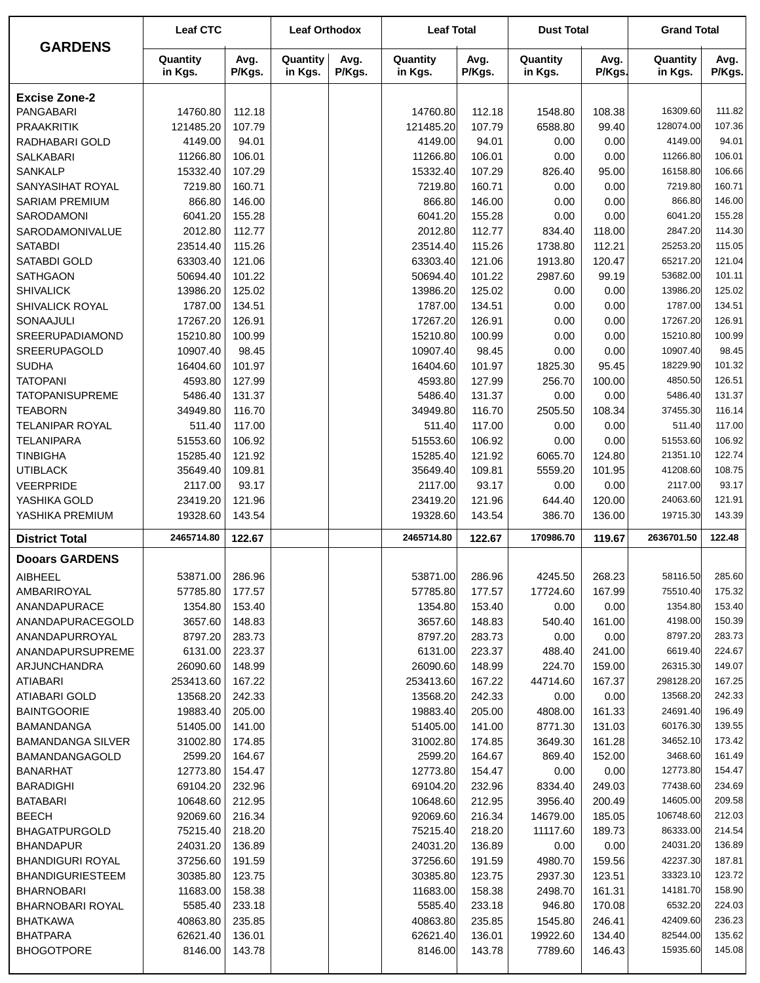| <b>GARDENS</b>                               | <b>Leaf CTC</b>      |                  | <b>Leaf Orthodox</b> |                | <b>Leaf Total</b>    |                  | <b>Dust Total</b>   |                  | <b>Grand Total</b>   |                  |
|----------------------------------------------|----------------------|------------------|----------------------|----------------|----------------------|------------------|---------------------|------------------|----------------------|------------------|
|                                              | Quantity<br>in Kgs.  | Avg.<br>P/Kgs.   | Quantity<br>in Kgs.  | Avg.<br>P/Kgs. | Quantity<br>in Kgs.  | Avg.<br>P/Kgs.   | Quantity<br>in Kgs. | Avg.<br>P/Kgs.   | Quantity<br>in Kgs.  | Avg.<br>P/Kgs.   |
| <b>Excise Zone-2</b>                         |                      |                  |                      |                |                      |                  |                     |                  |                      |                  |
| PANGABARI                                    | 14760.80             | 112.18           |                      |                | 14760.80             | 112.18           | 1548.80             | 108.38           | 16309.60             | 111.82           |
| <b>PRAAKRITIK</b>                            | 121485.20            | 107.79           |                      |                | 121485.20            | 107.79           | 6588.80             | 99.40            | 128074.00            | 107.36           |
| RADHABARI GOLD                               | 4149.00              | 94.01            |                      |                | 4149.00              | 94.01            | 0.00                | 0.00             | 4149.00              | 94.01            |
| <b>SALKABARI</b>                             | 11266.80             | 106.01           |                      |                | 11266.80             | 106.01           | 0.00                | 0.00             | 11266.80             | 106.01           |
| <b>SANKALP</b>                               | 15332.40             | 107.29           |                      |                | 15332.40             | 107.29           | 826.40              | 95.00            | 16158.80             | 106.66           |
| SANYASIHAT ROYAL                             | 7219.80              | 160.71           |                      |                | 7219.80              | 160.71           | 0.00                | 0.00             | 7219.80              | 160.71           |
| <b>SARIAM PREMIUM</b>                        | 866.80               | 146.00           |                      |                | 866.80               | 146.00           | 0.00                | 0.00             | 866.80               | 146.00           |
| <b>SARODAMONI</b>                            | 6041.20              | 155.28           |                      |                | 6041.20              | 155.28           | 0.00                | 0.00             | 6041.20              | 155.28           |
| <b>SARODAMONIVALUE</b>                       | 2012.80              | 112.77           |                      |                | 2012.80              | 112.77           | 834.40              | 118.00           | 2847.20              | 114.30           |
| <b>SATABDI</b>                               | 23514.40             | 115.26           |                      |                | 23514.40             | 115.26           | 1738.80             | 112.21           | 25253.20             | 115.05           |
| SATABDI GOLD                                 | 63303.40             | 121.06           |                      |                | 63303.40             | 121.06           | 1913.80             | 120.47           | 65217.20             | 121.04           |
| <b>SATHGAON</b>                              | 50694.40             | 101.22           |                      |                | 50694.40             | 101.22           | 2987.60             | 99.19            | 53682.00             | 101.11           |
| <b>SHIVALICK</b>                             | 13986.20             | 125.02           |                      |                | 13986.20             | 125.02           | 0.00                | 0.00             | 13986.20             | 125.02           |
| SHIVALICK ROYAL                              | 1787.00              | 134.51           |                      |                | 1787.00              | 134.51           | 0.00                | 0.00             | 1787.00              | 134.51           |
| SONAAJULI                                    | 17267.20             | 126.91           |                      |                | 17267.20             | 126.91           | 0.00                | 0.00             | 17267.20             | 126.91           |
| SREERUPADIAMOND                              | 15210.80             | 100.99           |                      |                | 15210.80             | 100.99           | 0.00                | 0.00             | 15210.80             | 100.99           |
| SREERUPAGOLD                                 | 10907.40             | 98.45            |                      |                | 10907.40             | 98.45            | 0.00                | 0.00             | 10907.40<br>18229.90 | 98.45            |
| <b>SUDHA</b><br><b>TATOPANI</b>              | 16404.60             | 101.97           |                      |                | 16404.60             | 101.97           | 1825.30             | 95.45            | 4850.50              | 101.32<br>126.51 |
| <b>TATOPANISUPREME</b>                       | 4593.80<br>5486.40   | 127.99<br>131.37 |                      |                | 4593.80<br>5486.40   | 127.99<br>131.37 | 256.70<br>0.00      | 100.00<br>0.00   | 5486.40              | 131.37           |
| <b>TEABORN</b>                               | 34949.80             | 116.70           |                      |                | 34949.80             | 116.70           | 2505.50             | 108.34           | 37455.30             | 116.14           |
| <b>TELANIPAR ROYAL</b>                       | 511.40               | 117.00           |                      |                | 511.40               | 117.00           | 0.00                | 0.00             | 511.40               | 117.00           |
| <b>TELANIPARA</b>                            | 51553.60             | 106.92           |                      |                | 51553.60             | 106.92           | 0.00                | 0.00             | 51553.60             | 106.92           |
| <b>TINBIGHA</b>                              | 15285.40             | 121.92           |                      |                | 15285.40             | 121.92           | 6065.70             | 124.80           | 21351.10             | 122.74           |
| <b>UTIBLACK</b>                              | 35649.40             | 109.81           |                      |                | 35649.40             | 109.81           | 5559.20             | 101.95           | 41208.60             | 108.75           |
| <b>VEERPRIDE</b>                             | 2117.00              | 93.17            |                      |                | 2117.00              | 93.17            | 0.00                | 0.00             | 2117.00              | 93.17            |
| YASHIKA GOLD                                 | 23419.20             | 121.96           |                      |                | 23419.20             | 121.96           | 644.40              | 120.00           | 24063.60             | 121.91           |
| YASHIKA PREMIUM                              | 19328.60             | 143.54           |                      |                | 19328.60             | 143.54           | 386.70              | 136.00           | 19715.30             | 143.39           |
| <b>District Total</b>                        | 2465714.80           | 122.67           |                      |                | 2465714.80           | 122.67           | 170986.70           | 119.67           | 2636701.50           | 122.48           |
| <b>Dooars GARDENS</b>                        |                      |                  |                      |                |                      |                  |                     |                  |                      |                  |
| AIBHEEL                                      | 53871.00             | 286.96           |                      |                | 53871.00             | 286.96           | 4245.50             | 268.23           | 58116.50             | 285.60           |
| AMBARIROYAL                                  | 57785.80             | 177.57           |                      |                | 57785.80             | 177.57           | 17724.60            | 167.99           | 75510.40             | 175.32           |
| ANANDAPURACE                                 | 1354.80              | 153.40           |                      |                | 1354.80              | 153.40           | 0.00                | 0.00             | 1354.80              | 153.40           |
| ANANDAPURACEGOLD                             | 3657.60              | 148.83           |                      |                | 3657.60              | 148.83           | 540.40              | 161.00           | 4198.00              | 150.39           |
| ANANDAPURROYAL                               | 8797.20              | 283.73           |                      |                | 8797.20              | 283.73           | 0.00                | 0.00             | 8797.20              | 283.73           |
| ANANDAPURSUPREME                             | 6131.00              | 223.37           |                      |                | 6131.00              | 223.37           | 488.40              | 241.00           | 6619.40              | 224.67           |
| ARJUNCHANDRA                                 | 26090.60             | 148.99           |                      |                | 26090.60             | 148.99           | 224.70              | 159.00           | 26315.30             | 149.07           |
| ATIABARI                                     | 253413.60            | 167.22           |                      |                | 253413.60            | 167.22           | 44714.60            | 167.37           | 298128.20            | 167.25           |
| ATIABARI GOLD                                | 13568.20             | 242.33           |                      |                | 13568.20             | 242.33           | 0.00                | 0.00             | 13568.20             | 242.33           |
| <b>BAINTGOORIE</b>                           | 19883.40             | 205.00           |                      |                | 19883.40             | 205.00           | 4808.00             | 161.33           | 24691.40             | 196.49           |
| <b>BAMANDANGA</b>                            | 51405.00             | 141.00           |                      |                | 51405.00             | 141.00           | 8771.30             | 131.03           | 60176.30             | 139.55           |
| <b>BAMANDANGA SILVER</b>                     | 31002.80             | 174.85           |                      |                | 31002.80             | 174.85           | 3649.30             | 161.28           | 34652.10             | 173.42           |
| <b>BAMANDANGAGOLD</b>                        | 2599.20              | 164.67           |                      |                | 2599.20              | 164.67           | 869.40              | 152.00           | 3468.60              | 161.49           |
| <b>BANARHAT</b>                              | 12773.80             | 154.47           |                      |                | 12773.80             | 154.47           | 0.00                | 0.00             | 12773.80             | 154.47           |
| <b>BARADIGHI</b>                             | 69104.20             | 232.96           |                      |                | 69104.20             | 232.96           | 8334.40             | 249.03           | 77438.60             | 234.69           |
| <b>BATABARI</b>                              | 10648.60             | 212.95           |                      |                | 10648.60             | 212.95           | 3956.40             | 200.49           | 14605.00             | 209.58           |
| <b>BEECH</b>                                 | 92069.60             | 216.34           |                      |                | 92069.60             | 216.34           | 14679.00            | 185.05           | 106748.60            | 212.03           |
| <b>BHAGATPURGOLD</b>                         | 75215.40             | 218.20           |                      |                | 75215.40             | 218.20           | 11117.60            | 189.73           | 86333.00             | 214.54           |
| <b>BHANDAPUR</b>                             | 24031.20             | 136.89           |                      |                | 24031.20             | 136.89           | 0.00                | 0.00             | 24031.20             | 136.89           |
| <b>BHANDIGURI ROYAL</b>                      | 37256.60             | 191.59           |                      |                | 37256.60             | 191.59           | 4980.70             | 159.56           | 42237.30<br>33323.10 | 187.81<br>123.72 |
| <b>BHANDIGURIESTEEM</b><br><b>BHARNOBARI</b> | 30385.80<br>11683.00 | 123.75<br>158.38 |                      |                | 30385.80<br>11683.00 | 123.75<br>158.38 | 2937.30<br>2498.70  | 123.51<br>161.31 | 14181.70             | 158.90           |
| BHARNOBARI ROYAL                             | 5585.40              | 233.18           |                      |                | 5585.40              | 233.18           | 946.80              | 170.08           | 6532.20              | 224.03           |
| <b>BHATKAWA</b>                              | 40863.80             | 235.85           |                      |                | 40863.80             | 235.85           | 1545.80             | 246.41           | 42409.60             | 236.23           |
| <b>BHATPARA</b>                              | 62621.40             | 136.01           |                      |                | 62621.40             | 136.01           | 19922.60            | 134.40           | 82544.00             | 135.62           |
| <b>BHOGOTPORE</b>                            | 8146.00              | 143.78           |                      |                | 8146.00              | 143.78           | 7789.60             | 146.43           | 15935.60             | 145.08           |
|                                              |                      |                  |                      |                |                      |                  |                     |                  |                      |                  |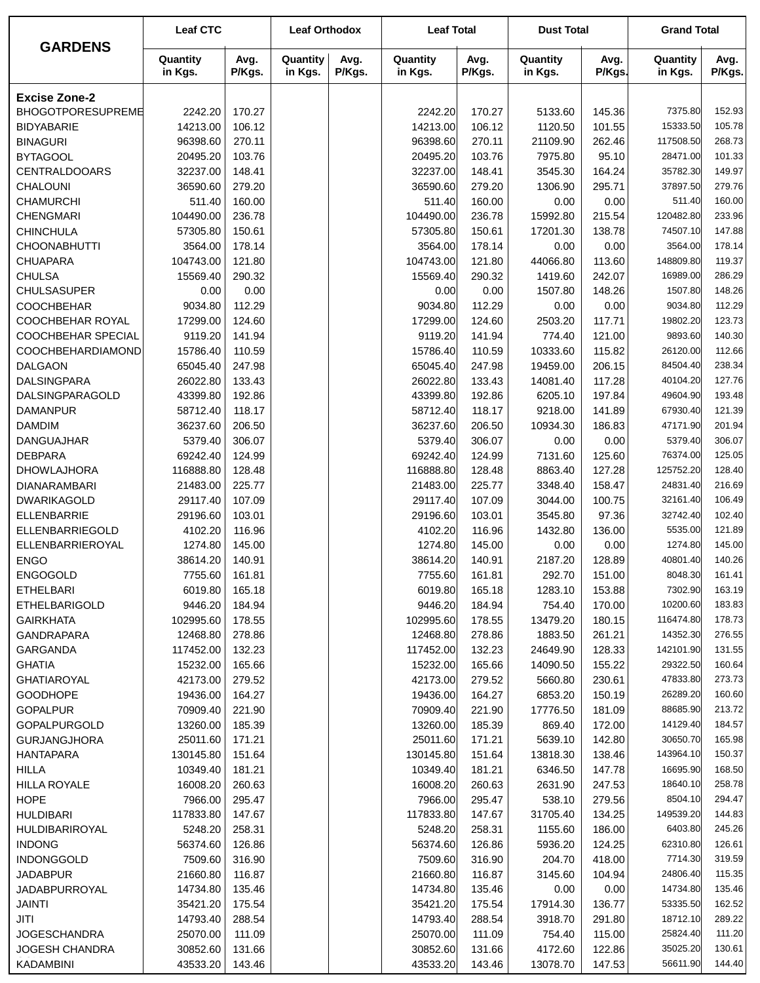|                                       | <b>Leaf CTC</b>       |                  | <b>Leaf Orthodox</b> |                | <b>Leaf Total</b>     |                  | <b>Dust Total</b>   |                  | <b>Grand Total</b>    |                  |
|---------------------------------------|-----------------------|------------------|----------------------|----------------|-----------------------|------------------|---------------------|------------------|-----------------------|------------------|
| <b>GARDENS</b>                        | Quantity<br>in Kgs.   | Avg.<br>P/Kgs.   | Quantity<br>in Kgs.  | Avg.<br>P/Kgs. | Quantity<br>in Kgs.   | Avg.<br>P/Kgs.   | Quantity<br>in Kgs. | Avg.<br>P/Kgs.   | Quantity<br>in Kgs.   | Avg.<br>P/Kgs.   |
| <b>Excise Zone-2</b>                  |                       |                  |                      |                |                       |                  |                     |                  |                       |                  |
| BHOGOTPORESUPREME                     | 2242.20               | 170.27           |                      |                | 2242.20               | 170.27           | 5133.60             | 145.36           | 7375.80               | 152.93           |
| <b>BIDYABARIE</b>                     | 14213.00              | 106.12           |                      |                | 14213.00              | 106.12           | 1120.50             | 101.55           | 15333.50              | 105.78           |
| <b>BINAGURI</b>                       | 96398.60              | 270.11           |                      |                | 96398.60              | 270.11           | 21109.90            | 262.46           | 117508.50             | 268.73           |
| <b>BYTAGOOL</b>                       | 20495.20              | 103.76           |                      |                | 20495.20              | 103.76           | 7975.80             | 95.10            | 28471.00              | 101.33           |
| <b>CENTRALDOOARS</b>                  | 32237.00              | 148.41           |                      |                | 32237.00              | 148.41           | 3545.30             | 164.24           | 35782.30              | 149.97           |
| CHALOUNI                              | 36590.60              | 279.20           |                      |                | 36590.60              | 279.20           | 1306.90             | 295.71           | 37897.50              | 279.76           |
| <b>CHAMURCHI</b>                      | 511.40                | 160.00           |                      |                | 511.40                | 160.00           | 0.00                | 0.00             | 511.40                | 160.00           |
| <b>CHENGMARI</b>                      | 104490.00             | 236.78           |                      |                | 104490.00             | 236.78           | 15992.80            | 215.54           | 120482.80             | 233.96           |
| <b>CHINCHULA</b>                      | 57305.80              | 150.61           |                      |                | 57305.80              | 150.61           | 17201.30            | 138.78           | 74507.10              | 147.88           |
| <b>CHOONABHUTTI</b>                   | 3564.00               | 178.14           |                      |                | 3564.00               | 178.14           | 0.00                | 0.00             | 3564.00               | 178.14           |
| <b>CHUAPARA</b>                       | 104743.00             | 121.80           |                      |                | 104743.00             | 121.80           | 44066.80            | 113.60           | 148809.80             | 119.37           |
| <b>CHULSA</b>                         | 15569.40              | 290.32           |                      |                | 15569.40              | 290.32           | 1419.60             | 242.07           | 16989.00              | 286.29           |
| <b>CHULSASUPER</b>                    | 0.00                  | 0.00             |                      |                | 0.00                  | 0.00             | 1507.80             | 148.26           | 1507.80               | 148.26           |
| <b>COOCHBEHAR</b>                     | 9034.80               | 112.29           |                      |                | 9034.80               | 112.29           | 0.00                | 0.00             | 9034.80               | 112.29           |
| COOCHBEHAR ROYAL                      | 17299.00              | 124.60           |                      |                | 17299.00              | 124.60           | 2503.20             | 117.71           | 19802.20              | 123.73           |
| <b>COOCHBEHAR SPECIAL</b>             | 9119.20               | 141.94           |                      |                | 9119.20               | 141.94           | 774.40              | 121.00           | 9893.60               | 140.30           |
| COOCHBEHARDIAMOND                     | 15786.40              | 110.59           |                      |                | 15786.40              | 110.59           | 10333.60            | 115.82           | 26120.00              | 112.66           |
| <b>DALGAON</b>                        | 65045.40              | 247.98           |                      |                | 65045.40              | 247.98           | 19459.00            | 206.15           | 84504.40              | 238.34           |
| <b>DALSINGPARA</b>                    | 26022.80              | 133.43           |                      |                | 26022.80              | 133.43           | 14081.40            | 117.28           | 40104.20              | 127.76           |
| DALSINGPARAGOLD                       | 43399.80              | 192.86           |                      |                | 43399.80              | 192.86           | 6205.10             | 197.84           | 49604.90              | 193.48           |
| <b>DAMANPUR</b>                       | 58712.40              | 118.17           |                      |                | 58712.40              | 118.17           | 9218.00             | 141.89           | 67930.40              | 121.39           |
| <b>DAMDIM</b>                         | 36237.60              | 206.50           |                      |                | 36237.60              | 206.50           | 10934.30            | 186.83           | 47171.90              | 201.94           |
| <b>DANGUAJHAR</b>                     | 5379.40               | 306.07           |                      |                | 5379.40               | 306.07           | 0.00                | 0.00             | 5379.40               | 306.07           |
| <b>DEBPARA</b>                        | 69242.40              | 124.99           |                      |                | 69242.40              | 124.99           | 7131.60             | 125.60           | 76374.00              | 125.05           |
| <b>DHOWLAJHORA</b>                    | 116888.80             | 128.48           |                      |                | 116888.80             | 128.48           | 8863.40             | 127.28           | 125752.20             | 128.40           |
| <b>DIANARAMBARI</b>                   | 21483.00              | 225.77           |                      |                | 21483.00              | 225.77           | 3348.40             | 158.47           | 24831.40              | 216.69           |
| <b>DWARIKAGOLD</b>                    | 29117.40              | 107.09           |                      |                | 29117.40              | 107.09           | 3044.00             | 100.75           | 32161.40              | 106.49           |
| <b>ELLENBARRIE</b>                    | 29196.60              | 103.01           |                      |                | 29196.60              | 103.01           | 3545.80             | 97.36            | 32742.40              | 102.40           |
| ELLENBARRIEGOLD                       | 4102.20               | 116.96           |                      |                | 4102.20               | 116.96           | 1432.80             | 136.00           | 5535.00               | 121.89           |
| ELLENBARRIEROYAL                      | 1274.80               | 145.00           |                      |                | 1274.80               | 145.00           | 0.00                | 0.00             | 1274.80               | 145.00           |
| <b>ENGO</b>                           | 38614.20              | 140.91           |                      |                | 38614.20              | 140.91           | 2187.20             | 128.89           | 40801.40              | 140.26           |
| <b>ENGOGOLD</b>                       | 7755.60               | 161.81           |                      |                | 7755.60               | 161.81           | 292.70              | 151.00           | 8048.30               | 161.41           |
| <b>ETHELBARI</b>                      | 6019.80               | 165.18           |                      |                | 6019.80               | 165.18           | 1283.10             | 153.88           | 7302.90               | 163.19           |
| ETHELBARIGOLD                         | 9446.20               | 184.94           |                      |                | 9446.20               | 184.94           | 754.40              | 170.00           | 10200.60              | 183.83           |
| <b>GAIRKHATA</b><br><b>GANDRAPARA</b> | 102995.60             | 178.55           |                      |                | 102995.60             | 178.55           | 13479.20            | 180.15           | 116474.80<br>14352.30 | 178.73           |
| GARGANDA                              | 12468.80<br>117452.00 | 278.86<br>132.23 |                      |                | 12468.80<br>117452.00 | 278.86<br>132.23 | 1883.50<br>24649.90 | 261.21<br>128.33 | 142101.90             | 276.55<br>131.55 |
|                                       |                       |                  |                      |                |                       | 165.66           |                     |                  | 29322.50              | 160.64           |
| <b>GHATIA</b><br><b>GHATIAROYAL</b>   | 15232.00<br>42173.00  | 165.66<br>279.52 |                      |                | 15232.00<br>42173.00  | 279.52           | 14090.50<br>5660.80 | 155.22<br>230.61 | 47833.80              | 273.73           |
| <b>GOODHOPE</b>                       | 19436.00              | 164.27           |                      |                | 19436.00              | 164.27           | 6853.20             | 150.19           | 26289.20              | 160.60           |
| <b>GOPALPUR</b>                       | 70909.40              | 221.90           |                      |                | 70909.40              | 221.90           | 17776.50            | 181.09           | 88685.90              | 213.72           |
| <b>GOPALPURGOLD</b>                   | 13260.00              | 185.39           |                      |                | 13260.00              | 185.39           | 869.40              | 172.00           | 14129.40              | 184.57           |
| <b>GURJANGJHORA</b>                   | 25011.60              | 171.21           |                      |                | 25011.60              | 171.21           | 5639.10             | 142.80           | 30650.70              | 165.98           |
| <b>HANTAPARA</b>                      | 130145.80             | 151.64           |                      |                | 130145.80             | 151.64           | 13818.30            | 138.46           | 143964.10             | 150.37           |
| <b>HILLA</b>                          | 10349.40              | 181.21           |                      |                | 10349.40              | 181.21           | 6346.50             | 147.78           | 16695.90              | 168.50           |
| <b>HILLA ROYALE</b>                   | 16008.20              | 260.63           |                      |                | 16008.20              | 260.63           | 2631.90             | 247.53           | 18640.10              | 258.78           |
| <b>HOPE</b>                           | 7966.00               | 295.47           |                      |                | 7966.00               | 295.47           | 538.10              | 279.56           | 8504.10               | 294.47           |
| <b>HULDIBARI</b>                      | 117833.80             | 147.67           |                      |                | 117833.80             | 147.67           | 31705.40            | 134.25           | 149539.20             | 144.83           |
| HULDIBARIROYAL                        | 5248.20               | 258.31           |                      |                | 5248.20               | 258.31           | 1155.60             | 186.00           | 6403.80               | 245.26           |
| <b>INDONG</b>                         | 56374.60              | 126.86           |                      |                | 56374.60              | 126.86           | 5936.20             | 124.25           | 62310.80              | 126.61           |
| <b>INDONGGOLD</b>                     | 7509.60               | 316.90           |                      |                | 7509.60               | 316.90           | 204.70              | 418.00           | 7714.30               | 319.59           |
| <b>JADABPUR</b>                       | 21660.80              | 116.87           |                      |                | 21660.80              | 116.87           | 3145.60             | 104.94           | 24806.40              | 115.35           |
| <b>JADABPURROYAL</b>                  | 14734.80              | 135.46           |                      |                | 14734.80              | 135.46           | 0.00                | 0.00             | 14734.80              | 135.46           |
| JAINTI                                | 35421.20              | 175.54           |                      |                | 35421.20              | 175.54           | 17914.30            | 136.77           | 53335.50              | 162.52           |
| JITI                                  | 14793.40              | 288.54           |                      |                | 14793.40              | 288.54           | 3918.70             | 291.80           | 18712.10              | 289.22           |
| <b>JOGESCHANDRA</b>                   | 25070.00              | 111.09           |                      |                | 25070.00              | 111.09           | 754.40              | 115.00           | 25824.40              | 111.20           |
| JOGESH CHANDRA                        | 30852.60              | 131.66           |                      |                | 30852.60              | 131.66           | 4172.60             | 122.86           | 35025.20              | 130.61           |
| <b>KADAMBINI</b>                      | 43533.20              | 143.46           |                      |                | 43533.20              | 143.46           | 13078.70            | 147.53           | 56611.90              | 144.40           |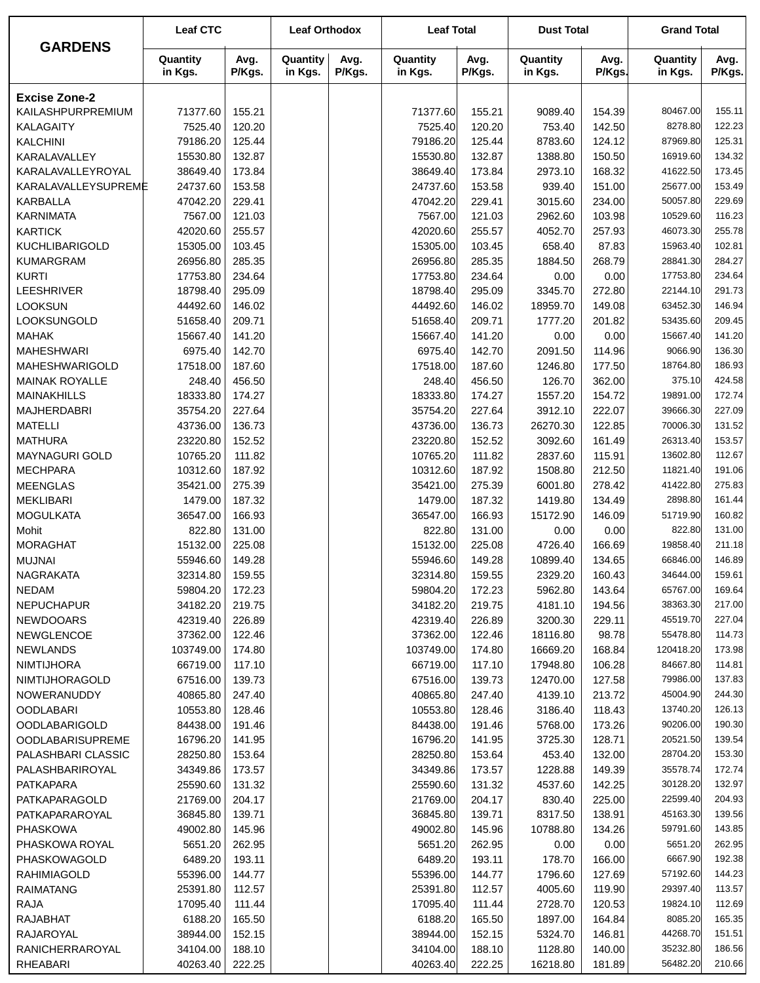|                                             | <b>Leaf CTC</b>      |                  | <b>Leaf Orthodox</b> |                | <b>Leaf Total</b>    |                  | <b>Dust Total</b>    |                  | <b>Grand Total</b>    |                  |
|---------------------------------------------|----------------------|------------------|----------------------|----------------|----------------------|------------------|----------------------|------------------|-----------------------|------------------|
| <b>GARDENS</b>                              | Quantity<br>in Kgs.  | Avg.<br>P/Kgs.   | Quantity<br>in Kgs.  | Avg.<br>P/Kgs. | Quantity<br>in Kgs.  | Avg.<br>P/Kgs.   | Quantity<br>in Kgs.  | Avg.<br>P/Kgs.   | Quantity<br>in Kgs.   | Avg.<br>P/Kgs.   |
| <b>Excise Zone-2</b>                        |                      |                  |                      |                |                      |                  |                      |                  |                       |                  |
| KAILASHPURPREMIUM                           | 71377.60             | 155.21           |                      |                | 71377.60             | 155.21           | 9089.40              | 154.39           | 80467.00              | 155.11           |
| <b>KALAGAITY</b>                            | 7525.40              | 120.20           |                      |                | 7525.40              | 120.20           | 753.40               | 142.50           | 8278.80               | 122.23           |
| <b>KALCHINI</b>                             | 79186.20             | 125.44           |                      |                | 79186.20             | 125.44           | 8783.60              | 124.12           | 87969.80              | 125.31           |
| KARALAVALLEY                                | 15530.80             | 132.87           |                      |                | 15530.80             | 132.87           | 1388.80              | 150.50           | 16919.60              | 134.32           |
| KARALAVALLEYROYAL                           | 38649.40             | 173.84           |                      |                | 38649.40             | 173.84           | 2973.10              | 168.32           | 41622.50              | 173.45           |
| KARALAVALLEYSUPREME                         | 24737.60             | 153.58           |                      |                | 24737.60             | 153.58           | 939.40               | 151.00           | 25677.00              | 153.49           |
| <b>KARBALLA</b>                             | 47042.20             | 229.41           |                      |                | 47042.20             | 229.41           | 3015.60              | 234.00           | 50057.80              | 229.69           |
| <b>KARNIMATA</b>                            | 7567.00              | 121.03           |                      |                | 7567.00              | 121.03           | 2962.60              | 103.98           | 10529.60              | 116.23           |
| <b>KARTICK</b>                              | 42020.60             | 255.57           |                      |                | 42020.60             | 255.57           | 4052.70              | 257.93           | 46073.30              | 255.78           |
| <b>KUCHLIBARIGOLD</b>                       | 15305.00             | 103.45           |                      |                | 15305.00             | 103.45           | 658.40               | 87.83            | 15963.40              | 102.81           |
| <b>KUMARGRAM</b>                            | 26956.80             | 285.35           |                      |                | 26956.80             | 285.35           | 1884.50              | 268.79           | 28841.30              | 284.27           |
| <b>KURTI</b>                                | 17753.80             | 234.64           |                      |                | 17753.80             | 234.64           | 0.00                 | 0.00             | 17753.80              | 234.64           |
| <b>LEESHRIVER</b>                           | 18798.40             | 295.09           |                      |                | 18798.40             | 295.09           | 3345.70              | 272.80           | 22144.10              | 291.73           |
| <b>LOOKSUN</b>                              | 44492.60             | 146.02           |                      |                | 44492.60             | 146.02           | 18959.70             | 149.08           | 63452.30              | 146.94           |
| LOOKSUNGOLD                                 | 51658.40             | 209.71           |                      |                | 51658.40             | 209.71           | 1777.20              | 201.82           | 53435.60              | 209.45           |
| <b>MAHAK</b>                                | 15667.40             | 141.20           |                      |                | 15667.40             | 141.20           | 0.00                 | 0.00             | 15667.40              | 141.20           |
| <b>MAHESHWARI</b>                           | 6975.40              | 142.70           |                      |                | 6975.40              | 142.70           | 2091.50              | 114.96           | 9066.90               | 136.30           |
| MAHESHWARIGOLD                              | 17518.00             | 187.60           |                      |                | 17518.00             | 187.60           | 1246.80              | 177.50           | 18764.80              | 186.93           |
| <b>MAINAK ROYALLE</b>                       | 248.40               | 456.50           |                      |                | 248.40               | 456.50           | 126.70               | 362.00           | 375.10                | 424.58           |
| <b>MAINAKHILLS</b>                          | 18333.80             | 174.27           |                      |                | 18333.80             | 174.27           | 1557.20              | 154.72           | 19891.00              | 172.74           |
| <b>MAJHERDABRI</b>                          | 35754.20             | 227.64           |                      |                | 35754.20             | 227.64           | 3912.10              | 222.07           | 39666.30              | 227.09           |
| <b>MATELLI</b>                              | 43736.00             | 136.73           |                      |                | 43736.00             | 136.73           | 26270.30             | 122.85           | 70006.30              | 131.52           |
| <b>MATHURA</b>                              | 23220.80             | 152.52           |                      |                | 23220.80             | 152.52           | 3092.60              | 161.49           | 26313.40              | 153.57           |
| <b>MAYNAGURI GOLD</b>                       | 10765.20             | 111.82           |                      |                | 10765.20             | 111.82           | 2837.60              | 115.91           | 13602.80              | 112.67           |
| <b>MECHPARA</b>                             | 10312.60             | 187.92           |                      |                | 10312.60             | 187.92           | 1508.80              | 212.50           | 11821.40              | 191.06           |
| <b>MEENGLAS</b>                             | 35421.00             | 275.39           |                      |                | 35421.00             | 275.39           | 6001.80              | 278.42           | 41422.80              | 275.83           |
| <b>MEKLIBARI</b>                            | 1479.00              | 187.32           |                      |                | 1479.00              | 187.32           | 1419.80              | 134.49           | 2898.80               | 161.44           |
| <b>MOGULKATA</b>                            | 36547.00             | 166.93           |                      |                | 36547.00             | 166.93           | 15172.90             | 146.09           | 51719.90              | 160.82           |
| Mohit                                       | 822.80               | 131.00           |                      |                | 822.80               | 131.00           | 0.00                 | 0.00             | 822.80                | 131.00           |
| <b>MORAGHAT</b>                             | 15132.00             | 225.08           |                      |                | 15132.00             | 225.08           | 4726.40              | 166.69           | 19858.40              | 211.18           |
| <b>MUJNAI</b>                               | 55946.60             | 149.28           |                      |                | 55946.60             | 149.28           | 10899.40             | 134.65           | 66846.00              | 146.89           |
| NAGRAKATA                                   | 32314.80             | 159.55           |                      |                | 32314.80             | 159.55           | 2329.20              | 160.43           | 34644.00              | 159.61           |
| NEDAM                                       | 59804.20             | 172.23           |                      |                | 59804.20             |                  | 5962.80              | 143.64           | 65767.00              | 169.64           |
| <b>NEPUCHAPUR</b>                           | 34182.20             | 219.75           |                      |                | 34182.20             | 172.23<br>219.75 |                      | 194.56           | 38363.30              | 217.00           |
|                                             | 42319.40             |                  |                      |                |                      |                  | 4181.10              |                  | 45519.70              | 227.04           |
| <b>NEWDOOARS</b>                            |                      | 226.89           |                      |                | 42319.40             | 226.89           | 3200.30              | 229.11           |                       |                  |
| <b>NEWGLENCOE</b>                           | 37362.00             | 122.46           |                      |                | 37362.00             | 122.46           | 18116.80             | 98.78            | 55478.80<br>120418.20 | 114.73<br>173.98 |
| <b>NEWLANDS</b>                             | 103749.00            | 174.80           |                      |                | 103749.00            | 174.80           | 16669.20             | 168.84<br>106.28 | 84667.80              | 114.81           |
| <b>NIMTIJHORA</b>                           | 66719.00             | 117.10           |                      |                | 66719.00             | 117.10           | 17948.80<br>12470.00 |                  | 79986.00              | 137.83           |
| <b>NIMTIJHORAGOLD</b><br><b>NOWERANUDDY</b> | 67516.00<br>40865.80 | 139.73<br>247.40 |                      |                | 67516.00<br>40865.80 | 139.73<br>247.40 | 4139.10              | 127.58<br>213.72 | 45004.90              | 244.30           |
|                                             | 10553.80             | 128.46           |                      |                | 10553.80             | 128.46           | 3186.40              | 118.43           | 13740.20              | 126.13           |
| <b>OODLABARI</b><br><b>OODLABARIGOLD</b>    |                      |                  |                      |                |                      |                  |                      |                  | 90206.00              | 190.30           |
|                                             | 84438.00             | 191.46           |                      |                | 84438.00             | 191.46           | 5768.00              | 173.26           |                       |                  |
| <b>OODLABARISUPREME</b>                     | 16796.20             | 141.95           |                      |                | 16796.20             | 141.95           | 3725.30              | 128.71           | 20521.50<br>28704.20  | 139.54<br>153.30 |
| PALASHBARI CLASSIC                          | 28250.80             | 153.64           |                      |                | 28250.80             | 153.64           | 453.40               | 132.00           |                       |                  |
| PALASHBARIROYAL                             | 34349.86             | 173.57           |                      |                | 34349.86             | 173.57           | 1228.88              | 149.39           | 35578.74              | 172.74           |
| PATKAPARA                                   | 25590.60             | 131.32           |                      |                | 25590.60             | 131.32           | 4537.60              | 142.25           | 30128.20              | 132.97<br>204.93 |
| PATKAPARAGOLD                               | 21769.00             | 204.17           |                      |                | 21769.00             | 204.17           | 830.40               | 225.00           | 22599.40              |                  |
| PATKAPARAROYAL                              | 36845.80             | 139.71           |                      |                | 36845.80             | 139.71           | 8317.50              | 138.91           | 45163.30              | 139.56           |
| <b>PHASKOWA</b>                             | 49002.80             | 145.96           |                      |                | 49002.80             | 145.96           | 10788.80             | 134.26           | 59791.60              | 143.85           |
| PHASKOWA ROYAL                              | 5651.20              | 262.95           |                      |                | 5651.20              | 262.95           | 0.00                 | 0.00             | 5651.20               | 262.95           |
| PHASKOWAGOLD                                | 6489.20              | 193.11           |                      |                | 6489.20              | 193.11           | 178.70               | 166.00           | 6667.90               | 192.38           |
| <b>RAHIMIAGOLD</b>                          | 55396.00             | 144.77           |                      |                | 55396.00             | 144.77           | 1796.60              | 127.69           | 57192.60              | 144.23           |
| <b>RAIMATANG</b>                            | 25391.80             | 112.57           |                      |                | 25391.80             | 112.57           | 4005.60              | 119.90           | 29397.40              | 113.57           |
| RAJA                                        | 17095.40             | 111.44           |                      |                | 17095.40             | 111.44           | 2728.70              | 120.53           | 19824.10              | 112.69           |
| <b>RAJABHAT</b>                             | 6188.20              | 165.50           |                      |                | 6188.20              | 165.50           | 1897.00              | 164.84           | 8085.20               | 165.35           |
| RAJAROYAL                                   | 38944.00             | 152.15           |                      |                | 38944.00             | 152.15           | 5324.70              | 146.81           | 44268.70              | 151.51           |
| RANICHERRAROYAL                             | 34104.00             | 188.10           |                      |                | 34104.00             | 188.10           | 1128.80              | 140.00           | 35232.80              | 186.56           |
| <b>RHEABARI</b>                             | 40263.40             | 222.25           |                      |                | 40263.40             | 222.25           | 16218.80             | 181.89           | 56482.20              | 210.66           |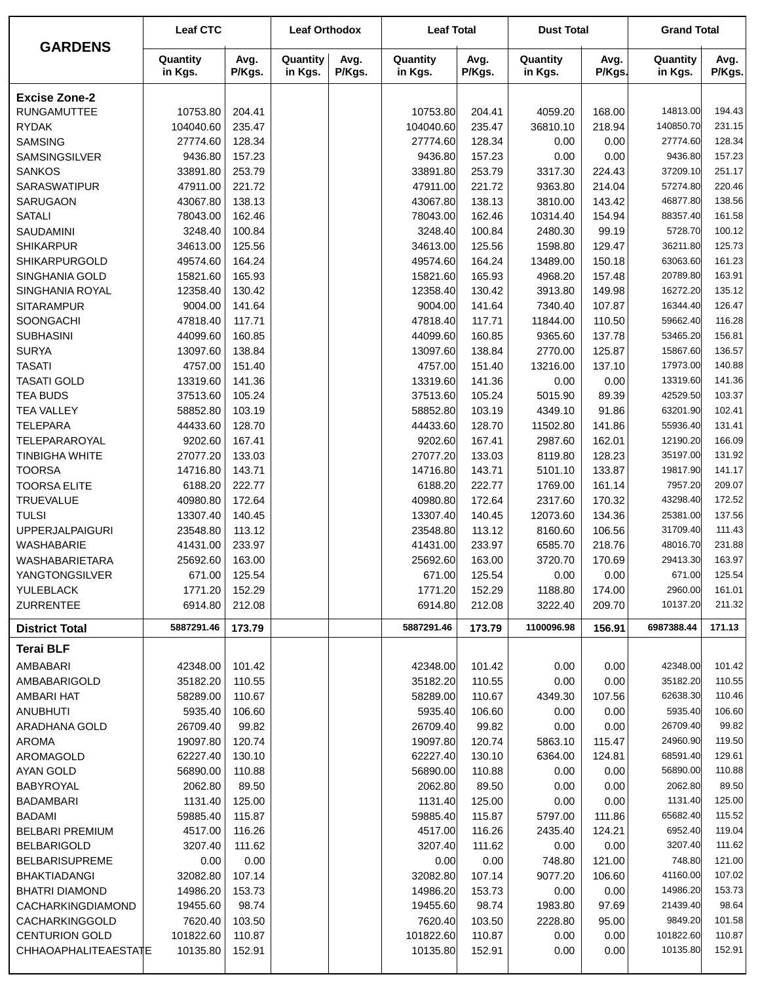| <b>GARDENS</b>                    | <b>Leaf CTC</b>     |                  | <b>Leaf Orthodox</b> |                | <b>Leaf Total</b>   |                  | <b>Dust Total</b>   |                | <b>Grand Total</b>   |                  |
|-----------------------------------|---------------------|------------------|----------------------|----------------|---------------------|------------------|---------------------|----------------|----------------------|------------------|
|                                   | Quantity<br>in Kgs. | Avg.<br>P/Kgs.   | Quantity<br>in Kgs.  | Avg.<br>P/Kgs. | Quantity<br>in Kgs. | Avg.<br>P/Kgs.   | Quantity<br>in Kgs. | Avg.<br>P/Kgs. | Quantity<br>in Kgs.  | Avg.<br>P/Kgs.   |
| <b>Excise Zone-2</b>              |                     |                  |                      |                |                     |                  |                     |                |                      |                  |
| <b>RUNGAMUTTEE</b>                | 10753.80            | 204.41           |                      |                | 10753.80            | 204.41           | 4059.20             | 168.00         | 14813.00             | 194.43           |
| <b>RYDAK</b>                      | 104040.60           | 235.47           |                      |                | 104040.60           | 235.47           | 36810.10            | 218.94         | 140850.70            | 231.15           |
| <b>SAMSING</b>                    | 27774.60            | 128.34           |                      |                | 27774.60            | 128.34           | 0.00                | 0.00           | 27774.60             | 128.34           |
| SAMSINGSILVER                     | 9436.80             | 157.23           |                      |                | 9436.80             | 157.23           | 0.00                | 0.00           | 9436.80              | 157.23           |
| <b>SANKOS</b>                     | 33891.80            | 253.79           |                      |                | 33891.80            | 253.79           | 3317.30             | 224.43         | 37209.10             | 251.17           |
| SARASWATIPUR                      | 47911.00            | 221.72           |                      |                | 47911.00            | 221.72           | 9363.80             | 214.04         | 57274.80             | 220.46           |
| SARUGAON                          | 43067.80            | 138.13           |                      |                | 43067.80            | 138.13           | 3810.00             | 143.42         | 46877.80             | 138.56           |
| <b>SATALI</b>                     | 78043.00            | 162.46           |                      |                | 78043.00            | 162.46           | 10314.40            | 154.94         | 88357.40             | 161.58           |
| SAUDAMINI                         | 3248.40             | 100.84           |                      |                | 3248.40             | 100.84           | 2480.30             | 99.19          | 5728.70              | 100.12           |
| <b>SHIKARPUR</b>                  | 34613.00            | 125.56           |                      |                | 34613.00            | 125.56           | 1598.80             | 129.47         | 36211.80             | 125.73           |
| SHIKARPURGOLD                     | 49574.60            | 164.24           |                      |                | 49574.60            | 164.24           | 13489.00            | 150.18         | 63063.60             | 161.23           |
| SINGHANIA GOLD                    | 15821.60            | 165.93           |                      |                | 15821.60            | 165.93           | 4968.20             | 157.48         | 20789.80             | 163.91           |
| SINGHANIA ROYAL                   | 12358.40            | 130.42           |                      |                | 12358.40            | 130.42           | 3913.80             | 149.98         | 16272.20             | 135.12           |
| <b>SITARAMPUR</b>                 | 9004.00             | 141.64           |                      |                | 9004.00             | 141.64           | 7340.40             | 107.87         | 16344.40             | 126.47           |
| SOONGACHI                         | 47818.40            | 117.71           |                      |                | 47818.40            | 117.71           | 11844.00            | 110.50         | 59662.40             | 116.28           |
| <b>SUBHASINI</b>                  | 44099.60            | 160.85           |                      |                | 44099.60            | 160.85           | 9365.60             | 137.78         | 53465.20             | 156.81           |
| <b>SURYA</b><br><b>TASATI</b>     | 13097.60<br>4757.00 | 138.84           |                      |                | 13097.60            | 138.84           | 2770.00             | 125.87         | 15867.60<br>17973.00 | 136.57<br>140.88 |
| <b>TASATI GOLD</b>                | 13319.60            | 151.40<br>141.36 |                      |                | 4757.00<br>13319.60 | 151.40<br>141.36 | 13216.00<br>0.00    | 137.10<br>0.00 | 13319.60             | 141.36           |
| <b>TEA BUDS</b>                   | 37513.60            | 105.24           |                      |                | 37513.60            | 105.24           | 5015.90             | 89.39          | 42529.50             | 103.37           |
| <b>TEA VALLEY</b>                 | 58852.80            | 103.19           |                      |                | 58852.80            | 103.19           | 4349.10             | 91.86          | 63201.90             | 102.41           |
| <b>TELEPARA</b>                   | 44433.60            | 128.70           |                      |                | 44433.60            | 128.70           | 11502.80            | 141.86         | 55936.40             | 131.41           |
| TELEPARAROYAL                     | 9202.60             | 167.41           |                      |                | 9202.60             | 167.41           | 2987.60             | 162.01         | 12190.20             | 166.09           |
| <b>TINBIGHA WHITE</b>             | 27077.20            | 133.03           |                      |                | 27077.20            | 133.03           | 8119.80             | 128.23         | 35197.00             | 131.92           |
| <b>TOORSA</b>                     | 14716.80            | 143.71           |                      |                | 14716.80            | 143.71           | 5101.10             | 133.87         | 19817.90             | 141.17           |
| <b>TOORSA ELITE</b>               | 6188.20             | 222.77           |                      |                | 6188.20             | 222.77           | 1769.00             | 161.14         | 7957.20              | 209.07           |
| <b>TRUEVALUE</b>                  | 40980.80            | 172.64           |                      |                | 40980.80            | 172.64           | 2317.60             | 170.32         | 43298.40             | 172.52           |
| <b>TULSI</b>                      | 13307.40            | 140.45           |                      |                | 13307.40            | 140.45           | 12073.60            | 134.36         | 25381.00             | 137.56           |
| <b>UPPERJALPAIGURI</b>            | 23548.80            | 113.12           |                      |                | 23548.80            | 113.12           | 8160.60             | 106.56         | 31709.40             | 111.43           |
| <b>WASHABARIE</b>                 | 41431.00            | 233.97           |                      |                | 41431.00            | 233.97           | 6585.70             | 218.76         | 48016.70             | 231.88           |
| WASHABARIETARA                    | 25692.60            | 163.00           |                      |                | 25692.60            | 163.00           | 3720.70             | 170.69         | 29413.30             | 163.97           |
| YANGTONGSILVER                    | 671.00              | 125.54           |                      |                | 671.00              | 125.54           | 0.00                | 0.00           | 671.00               | 125.54           |
| YULEBLACK                         | 1771.20             | 152.29           |                      |                | 1771.20             | 152.29           | 1188.80             | 174.00         | 2960.00              | 161.01           |
| ZURRENTEE                         | 6914.80             | 212.08           |                      |                | 6914.80             | 212.08           | 3222.40             | 209.70         | 10137.20             | 211.32           |
| <b>District Total</b>             | 5887291.46          | 173.79           |                      |                | 5887291.46          | 173.79           | 1100096.98          | 156.91         | 6987388.44           | 171.13           |
| <b>Terai BLF</b>                  |                     |                  |                      |                |                     |                  |                     |                |                      |                  |
| AMBABARI                          | 42348.00            | 101.42           |                      |                | 42348.00            | 101.42           | 0.00                | 0.00           | 42348.00             | 101.42           |
| AMBABARIGOLD                      | 35182.20            | 110.55           |                      |                | 35182.20            | 110.55           | 0.00                | 0.00           | 35182.20             | 110.55           |
| AMBARI HAT                        | 58289.00            | 110.67           |                      |                | 58289.00            | 110.67           | 4349.30             | 107.56         | 62638.30             | 110.46           |
| <b>ANUBHUTI</b>                   | 5935.40             | 106.60           |                      |                | 5935.40             | 106.60           | 0.00                | 0.00           | 5935.40              | 106.60           |
| ARADHANA GOLD                     | 26709.40            | 99.82            |                      |                | 26709.40            | 99.82            | 0.00                | 0.00           | 26709.40             | 99.82            |
| <b>AROMA</b>                      | 19097.80            | 120.74           |                      |                | 19097.80            | 120.74           | 5863.10             | 115.47         | 24960.90             | 119.50           |
| AROMAGOLD                         | 62227.40            | 130.10           |                      |                | 62227.40            | 130.10           | 6364.00             | 124.81         | 68591.40             | 129.61           |
| AYAN GOLD                         | 56890.00            | 110.88           |                      |                | 56890.00            | 110.88           | 0.00                | 0.00           | 56890.00             | 110.88<br>89.50  |
| BABYROYAL                         | 2062.80             | 89.50            |                      |                | 2062.80             | 89.50            | 0.00                | 0.00           | 2062.80<br>1131.40   | 125.00           |
| <b>BADAMBARI</b><br><b>BADAMI</b> | 1131.40<br>59885.40 | 125.00<br>115.87 |                      |                | 1131.40<br>59885.40 | 125.00<br>115.87 | 0.00<br>5797.00     | 0.00<br>111.86 | 65682.40             | 115.52           |
| <b>BELBARI PREMIUM</b>            | 4517.00             | 116.26           |                      |                | 4517.00             | 116.26           | 2435.40             | 124.21         | 6952.40              | 119.04           |
| <b>BELBARIGOLD</b>                | 3207.40             | 111.62           |                      |                | 3207.40             | 111.62           | 0.00                | 0.00           | 3207.40              | 111.62           |
| <b>BELBARISUPREME</b>             | 0.00                | 0.00             |                      |                | 0.00                | 0.00             | 748.80              | 121.00         | 748.80               | 121.00           |
| <b>BHAKTIADANGI</b>               | 32082.80            | 107.14           |                      |                | 32082.80            | 107.14           | 9077.20             | 106.60         | 41160.00             | 107.02           |
| BHATRI DIAMOND                    | 14986.20            | 153.73           |                      |                | 14986.20            | 153.73           | 0.00                | 0.00           | 14986.20             | 153.73           |
| CACHARKINGDIAMOND                 | 19455.60            | 98.74            |                      |                | 19455.60            | 98.74            | 1983.80             | 97.69          | 21439.40             | 98.64            |
| CACHARKINGGOLD                    | 7620.40             | 103.50           |                      |                | 7620.40             | 103.50           | 2228.80             | 95.00          | 9849.20              | 101.58           |
| <b>CENTURION GOLD</b>             | 101822.60           | 110.87           |                      |                | 101822.60           | 110.87           | 0.00                | 0.00           | 101822.60            | 110.87           |
| CHHAOAPHALITEAESTATE              | 10135.80            | 152.91           |                      |                | 10135.80            | 152.91           | 0.00                | 0.00           | 10135.80             | 152.91           |
|                                   |                     |                  |                      |                |                     |                  |                     |                |                      |                  |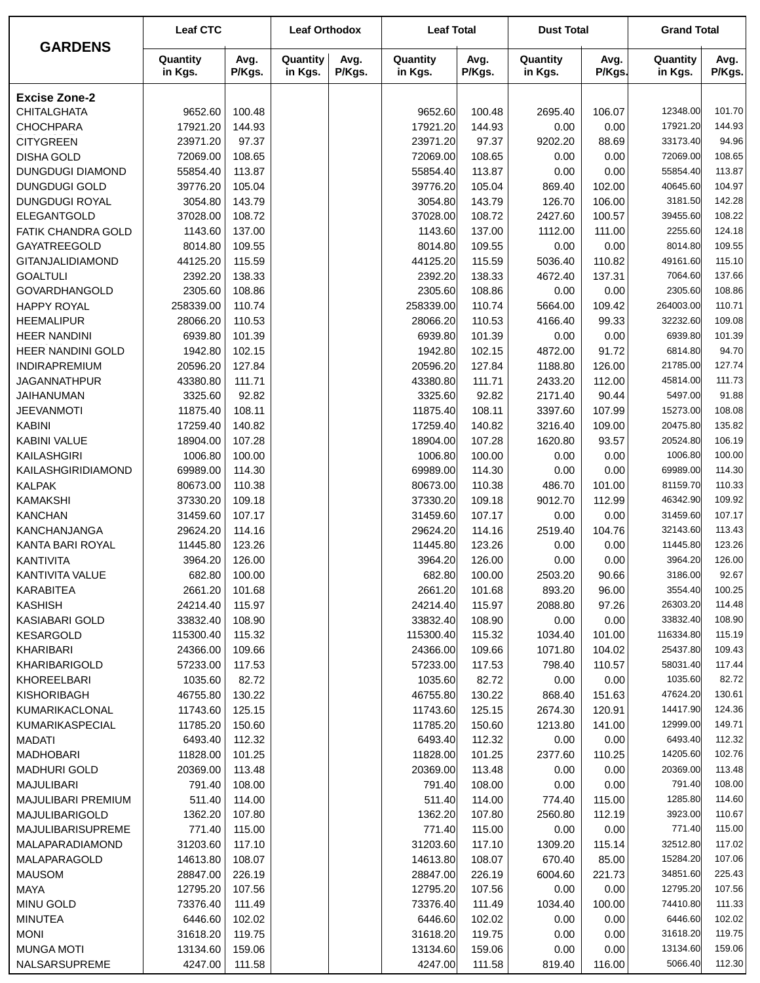|                         | <b>Leaf CTC</b>     |                | <b>Leaf Orthodox</b> |                | <b>Leaf Total</b>   |                | <b>Dust Total</b>   |                | <b>Grand Total</b>  |                |
|-------------------------|---------------------|----------------|----------------------|----------------|---------------------|----------------|---------------------|----------------|---------------------|----------------|
| <b>GARDENS</b>          | Quantity<br>in Kgs. | Avg.<br>P/Kgs. | Quantity<br>in Kgs.  | Avg.<br>P/Kgs. | Quantity<br>in Kgs. | Avg.<br>P/Kgs. | Quantity<br>in Kgs. | Avg.<br>P/Kgs. | Quantity<br>in Kgs. | Avg.<br>P/Kgs. |
| <b>Excise Zone-2</b>    |                     |                |                      |                |                     |                |                     |                |                     |                |
| <b>CHITALGHATA</b>      | 9652.60             | 100.48         |                      |                | 9652.60             | 100.48         | 2695.40             | 106.07         | 12348.00            | 101.70         |
| <b>CHOCHPARA</b>        | 17921.20            | 144.93         |                      |                | 17921.20            | 144.93         | 0.00                | 0.00           | 17921.20            | 144.93         |
| <b>CITYGREEN</b>        | 23971.20            | 97.37          |                      |                | 23971.20            | 97.37          | 9202.20             | 88.69          | 33173.40            | 94.96          |
| <b>DISHA GOLD</b>       | 72069.00            | 108.65         |                      |                | 72069.00            | 108.65         | 0.00                | 0.00           | 72069.00            | 108.65         |
| <b>DUNGDUGI DIAMOND</b> | 55854.40            | 113.87         |                      |                | 55854.40            | 113.87         | 0.00                | 0.00           | 55854.40            | 113.87         |
| <b>DUNGDUGI GOLD</b>    | 39776.20            | 105.04         |                      |                | 39776.20            | 105.04         | 869.40              | 102.00         | 40645.60            | 104.97         |
| DUNGDUGI ROYAL          | 3054.80             | 143.79         |                      |                | 3054.80             | 143.79         | 126.70              | 106.00         | 3181.50             | 142.28         |
| ELEGANTGOLD             | 37028.00            | 108.72         |                      |                | 37028.00            | 108.72         | 2427.60             | 100.57         | 39455.60            | 108.22         |
| FATIK CHANDRA GOLD      | 1143.60             | 137.00         |                      |                | 1143.60             | 137.00         | 1112.00             | 111.00         | 2255.60             | 124.18         |
| GAYATREEGOLD            | 8014.80             | 109.55         |                      |                | 8014.80             | 109.55         | 0.00                | 0.00           | 8014.80             | 109.55         |
| GITANJALIDIAMOND        | 44125.20            | 115.59         |                      |                | 44125.20            | 115.59         | 5036.40             | 110.82         | 49161.60            | 115.10         |
| <b>GOALTULI</b>         | 2392.20             | 138.33         |                      |                | 2392.20             | 138.33         | 4672.40             | 137.31         | 7064.60             | 137.66         |
| <b>GOVARDHANGOLD</b>    | 2305.60             | 108.86         |                      |                | 2305.60             | 108.86         | 0.00                | 0.00           | 2305.60             | 108.86         |
| <b>HAPPY ROYAL</b>      | 258339.00           | 110.74         |                      |                | 258339.00           | 110.74         | 5664.00             | 109.42         | 264003.00           | 110.71         |
| <b>HEEMALIPUR</b>       | 28066.20            | 110.53         |                      |                | 28066.20            | 110.53         | 4166.40             | 99.33          | 32232.60            | 109.08         |
| <b>HEER NANDINI</b>     | 6939.80             | 101.39         |                      |                | 6939.80             | 101.39         | 0.00                | 0.00           | 6939.80             | 101.39         |
| HEER NANDINI GOLD       | 1942.80             | 102.15         |                      |                | 1942.80             | 102.15         | 4872.00             | 91.72          | 6814.80             | 94.70          |
| <b>INDIRAPREMIUM</b>    | 20596.20            | 127.84         |                      |                | 20596.20            | 127.84         | 1188.80             | 126.00         | 21785.00            | 127.74         |
| <b>JAGANNATHPUR</b>     | 43380.80            | 111.71         |                      |                | 43380.80            | 111.71         | 2433.20             | 112.00         | 45814.00            | 111.73         |
| JAIHANUMAN              | 3325.60             | 92.82          |                      |                | 3325.60             | 92.82          | 2171.40             | 90.44          | 5497.00             | 91.88          |
| <b>JEEVANMOTI</b>       | 11875.40            | 108.11         |                      |                | 11875.40            | 108.11         | 3397.60             | 107.99         | 15273.00            | 108.08         |
| <b>KABINI</b>           | 17259.40            | 140.82         |                      |                | 17259.40            | 140.82         | 3216.40             | 109.00         | 20475.80            | 135.82         |
| KABINI VALUE            | 18904.00            | 107.28         |                      |                | 18904.00            | 107.28         | 1620.80             | 93.57          | 20524.80            | 106.19         |
| KAILASHGIRI             | 1006.80             | 100.00         |                      |                | 1006.80             | 100.00         | 0.00                | 0.00           | 1006.80             | 100.00         |
| KAILASHGIRIDIAMOND      | 69989.00            | 114.30         |                      |                | 69989.00            | 114.30         | 0.00                | 0.00           | 69989.00            | 114.30         |
| <b>KALPAK</b>           | 80673.00            | 110.38         |                      |                | 80673.00            | 110.38         | 486.70              | 101.00         | 81159.70            | 110.33         |
| <b>KAMAKSHI</b>         | 37330.20            | 109.18         |                      |                | 37330.20            | 109.18         | 9012.70             | 112.99         | 46342.90            | 109.92         |
| <b>KANCHAN</b>          | 31459.60            | 107.17         |                      |                | 31459.60            | 107.17         | 0.00                | 0.00           | 31459.60            | 107.17         |
| KANCHANJANGA            | 29624.20            | 114.16         |                      |                | 29624.20            | 114.16         | 2519.40             | 104.76         | 32143.60            | 113.43         |
| KANTA BARI ROYAL        | 11445.80            | 123.26         |                      |                | 11445.80            | 123.26         | 0.00                | 0.00           | 11445.80            | 123.26         |
| <b>KANTIVITA</b>        | 3964.20             | 126.00         |                      |                | 3964.20             | 126.00         | 0.00                | 0.00           | 3964.20             | 126.00         |
| KANTIVITA VALUE         | 682.80              | 100.00         |                      |                | 682.80              | 100.00         | 2503.20             | 90.66          | 3186.00             | 92.67          |
| KARABITEA               | 2661.20             | 101.68         |                      |                | 2661.20             | 101.68         | 893.20              | 96.00          | 3554.40             | 100.25         |
| <b>KASHISH</b>          | 24214.40            | 115.97         |                      |                | 24214.40            | 115.97         | 2088.80             | 97.26          | 26303.20            | 114.48         |
| <b>KASIABARI GOLD</b>   | 33832.40            | 108.90         |                      |                | 33832.40            | 108.90         | 0.00                | 0.00           | 33832.40            | 108.90         |
| <b>KESARGOLD</b>        | 115300.40           | 115.32         |                      |                | 115300.40           | 115.32         | 1034.40             | 101.00         | 116334.80           | 115.19         |
| KHARIBARI               | 24366.00            | 109.66         |                      |                | 24366.00            | 109.66         | 1071.80             | 104.02         | 25437.80            | 109.43         |
| <b>KHARIBARIGOLD</b>    | 57233.00            | 117.53         |                      |                | 57233.00            | 117.53         | 798.40              | 110.57         | 58031.40            | 117.44         |
| KHOREELBARI             | 1035.60             | 82.72          |                      |                | 1035.60             | 82.72          | 0.00                | 0.00           | 1035.60             | 82.72          |
| <b>KISHORIBAGH</b>      | 46755.80            | 130.22         |                      |                | 46755.80            | 130.22         | 868.40              | 151.63         | 47624.20            | 130.61         |
| KUMARIKACLONAL          | 11743.60            | 125.15         |                      |                | 11743.60            | 125.15         | 2674.30             | 120.91         | 14417.90            | 124.36         |
| KUMARIKASPECIAL         | 11785.20            | 150.60         |                      |                | 11785.20            | 150.60         | 1213.80             | 141.00         | 12999.00            | 149.71         |
| <b>MADATI</b>           | 6493.40             | 112.32         |                      |                | 6493.40             | 112.32         | 0.00                | 0.00           | 6493.40             | 112.32         |
| <b>MADHOBARI</b>        | 11828.00            | 101.25         |                      |                | 11828.00            | 101.25         | 2377.60             | 110.25         | 14205.60            | 102.76         |
| <b>MADHURI GOLD</b>     | 20369.00            | 113.48         |                      |                | 20369.00            | 113.48         | 0.00                | 0.00           | 20369.00            | 113.48         |
| MAJULIBARI              | 791.40              | 108.00         |                      |                | 791.40              | 108.00         | 0.00                | 0.00           | 791.40              | 108.00         |
| MAJULIBARI PREMIUM      | 511.40              | 114.00         |                      |                | 511.40              | 114.00         | 774.40              | 115.00         | 1285.80             | 114.60         |
| MAJULIBARIGOLD          | 1362.20             | 107.80         |                      |                | 1362.20             | 107.80         | 2560.80             | 112.19         | 3923.00             | 110.67         |
| MAJULIBARISUPREME       | 771.40              | 115.00         |                      |                | 771.40              | 115.00         | 0.00                | 0.00           | 771.40              | 115.00         |
| MALAPARADIAMOND         | 31203.60            | 117.10         |                      |                | 31203.60            | 117.10         | 1309.20             | 115.14         | 32512.80            | 117.02         |
| MALAPARAGOLD            | 14613.80            | 108.07         |                      |                | 14613.80            | 108.07         | 670.40              | 85.00          | 15284.20            | 107.06         |
| <b>MAUSOM</b>           | 28847.00            | 226.19         |                      |                | 28847.00            | 226.19         | 6004.60             | 221.73         | 34851.60            | 225.43         |
| <b>MAYA</b>             | 12795.20            | 107.56         |                      |                | 12795.20            | 107.56         | 0.00                | 0.00           | 12795.20            | 107.56         |
| <b>MINU GOLD</b>        | 73376.40            | 111.49         |                      |                | 73376.40            | 111.49         | 1034.40             | 100.00         | 74410.80            | 111.33         |
| <b>MINUTEA</b>          | 6446.60             | 102.02         |                      |                | 6446.60             | 102.02         | 0.00                | 0.00           | 6446.60             | 102.02         |
| <b>MONI</b>             | 31618.20            | 119.75         |                      |                | 31618.20            | 119.75         | 0.00                | 0.00           | 31618.20            | 119.75         |
| <b>MUNGA MOTI</b>       | 13134.60            | 159.06         |                      |                | 13134.60            | 159.06         | 0.00                | 0.00           | 13134.60            | 159.06         |
| NALSARSUPREME           | 4247.00             | 111.58         |                      |                | 4247.00             | 111.58         | 819.40              | 116.00         | 5066.40             | 112.30         |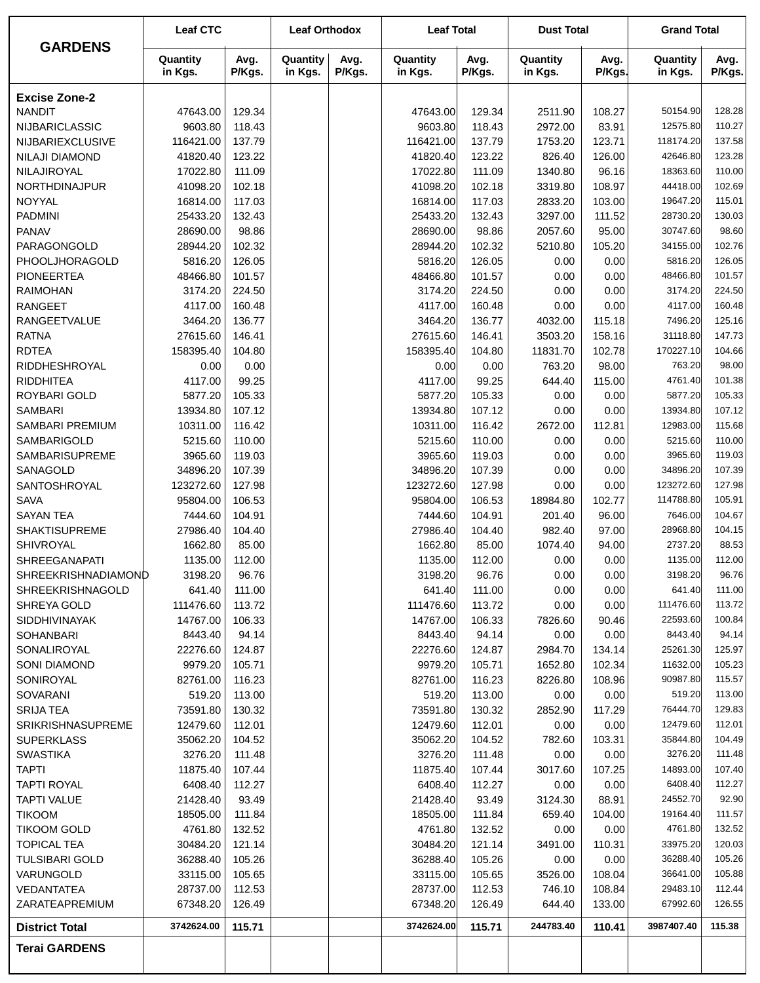|                              | <b>Leaf CTC</b>      |                  | <b>Leaf Orthodox</b> |                | <b>Leaf Total</b>    |                  | <b>Dust Total</b>   |                  | <b>Grand Total</b>  |                |
|------------------------------|----------------------|------------------|----------------------|----------------|----------------------|------------------|---------------------|------------------|---------------------|----------------|
| <b>GARDENS</b>               | Quantity<br>in Kgs.  | Avg.<br>P/Kgs.   | Quantity<br>in Kgs.  | Avg.<br>P/Kgs. | Quantity<br>in Kgs.  | Avg.<br>P/Kgs.   | Quantity<br>in Kgs. | Avg.<br>P/Kgs.   | Quantity<br>in Kgs. | Avg.<br>P/Kgs. |
| <b>Excise Zone-2</b>         |                      |                  |                      |                |                      |                  |                     |                  |                     |                |
| <b>NANDIT</b>                | 47643.00             | 129.34           |                      |                | 47643.00             | 129.34           | 2511.90             | 108.27           | 50154.90            | 128.28         |
| NIJBARICLASSIC               | 9603.80              | 118.43           |                      |                | 9603.80              | 118.43           | 2972.00             | 83.91            | 12575.80            | 110.27         |
| NIJBARIEXCLUSIVE             | 116421.00            | 137.79           |                      |                | 116421.00            | 137.79           | 1753.20             | 123.71           | 118174.20           | 137.58         |
| <b>NILAJI DIAMOND</b>        | 41820.40             | 123.22           |                      |                | 41820.40             | 123.22           | 826.40              | 126.00           | 42646.80            | 123.28         |
| NILAJIROYAL                  | 17022.80             | 111.09           |                      |                | 17022.80             | 111.09           | 1340.80             | 96.16            | 18363.60            | 110.00         |
| NORTHDINAJPUR                | 41098.20             | 102.18           |                      |                | 41098.20             | 102.18           | 3319.80             | 108.97           | 44418.00            | 102.69         |
| NOYYAL                       | 16814.00             | 117.03           |                      |                | 16814.00             | 117.03           | 2833.20             | 103.00           | 19647.20            | 115.01         |
| <b>PADMINI</b>               | 25433.20             | 132.43           |                      |                | 25433.20             | 132.43           | 3297.00             | 111.52           | 28730.20            | 130.03         |
| <b>PANAV</b>                 | 28690.00             | 98.86            |                      |                | 28690.00             | 98.86            | 2057.60             | 95.00            | 30747.60            | 98.60          |
| PARAGONGOLD                  | 28944.20             | 102.32           |                      |                | 28944.20             | 102.32           | 5210.80             | 105.20           | 34155.00            | 102.76         |
| PHOOLJHORAGOLD               | 5816.20              | 126.05           |                      |                | 5816.20              | 126.05           | 0.00                | 0.00             | 5816.20             | 126.05         |
| <b>PIONEERTEA</b>            | 48466.80             | 101.57           |                      |                | 48466.80             | 101.57           | 0.00                | 0.00             | 48466.80            | 101.57         |
| <b>RAIMOHAN</b>              | 3174.20              | 224.50           |                      |                | 3174.20              | 224.50           | 0.00                | 0.00             | 3174.20             | 224.50         |
| <b>RANGEET</b>               | 4117.00              | 160.48           |                      |                | 4117.00              | 160.48           | 0.00                | 0.00             | 4117.00             | 160.48         |
| <b>RANGEETVALUE</b>          | 3464.20              | 136.77           |                      |                | 3464.20              | 136.77           | 4032.00             | 115.18           | 7496.20             | 125.16         |
| <b>RATNA</b>                 | 27615.60             | 146.41           |                      |                | 27615.60             | 146.41           | 3503.20             | 158.16           | 31118.80            | 147.73         |
| <b>RDTEA</b>                 | 158395.40            | 104.80           |                      |                | 158395.40            | 104.80           | 11831.70            | 102.78           | 170227.10           | 104.66         |
| RIDDHESHROYAL                | 0.00                 | 0.00             |                      |                | 0.00                 | 0.00             | 763.20              | 98.00            | 763.20              | 98.00          |
| <b>RIDDHITEA</b>             | 4117.00              | 99.25            |                      |                | 4117.00              | 99.25            | 644.40              | 115.00           | 4761.40             | 101.38         |
| ROYBARI GOLD                 | 5877.20              | 105.33           |                      |                | 5877.20              | 105.33           | 0.00                | 0.00             | 5877.20             | 105.33         |
| <b>SAMBARI</b>               | 13934.80             | 107.12           |                      |                | 13934.80             | 107.12           | 0.00                | 0.00             | 13934.80            | 107.12         |
| SAMBARI PREMIUM              | 10311.00             | 116.42           |                      |                | 10311.00             | 116.42           | 2672.00             | 112.81           | 12983.00            | 115.68         |
| SAMBARIGOLD                  | 5215.60              | 110.00           |                      |                | 5215.60              | 110.00           | 0.00                | 0.00             | 5215.60             | 110.00         |
| SAMBARISUPREME               | 3965.60              | 119.03           |                      |                | 3965.60              | 119.03           | 0.00                | 0.00             | 3965.60             | 119.03         |
| SANAGOLD                     | 34896.20             | 107.39           |                      |                | 34896.20             | 107.39           | 0.00                | 0.00             | 34896.20            | 107.39         |
| SANTOSHROYAL                 | 123272.60            | 127.98           |                      |                | 123272.60            | 127.98           | 0.00                | 0.00             | 123272.60           | 127.98         |
| <b>SAVA</b>                  | 95804.00             | 106.53           |                      |                | 95804.00             | 106.53           | 18984.80            | 102.77           | 114788.80           | 105.91         |
| <b>SAYAN TEA</b>             | 7444.60              | 104.91           |                      |                | 7444.60              | 104.91           | 201.40              | 96.00            | 7646.00             | 104.67         |
| <b>SHAKTISUPREME</b>         | 27986.40             | 104.40           |                      |                | 27986.40             | 104.40           | 982.40              | 97.00            | 28968.80            | 104.15         |
| SHIVROYAL                    | 1662.80              | 85.00            |                      |                | 1662.80              | 85.00            | 1074.40             | 94.00            | 2737.20             | 88.53          |
| <b>SHREEGANAPATI</b>         | 1135.00              | 112.00           |                      |                | 1135.00              | 112.00           | 0.00                | 0.00             | 1135.00             | 112.00         |
| SHREEKRISHNADIAMOND          | 3198.20              | 96.76            |                      |                | 3198.20              | 96.76            | 0.00                | 0.00             | 3198.20             | 96.76          |
| <b>SHREEKRISHNAGOLD</b>      | 641.40               | 111.00           |                      |                | 641.40               | 111.00           | 0.00                | 0.00             | 641.40              | 111.00         |
| SHREYA GOLD                  | 111476.60            | 113.72           |                      |                | 111476.60            | 113.72           | 0.00                | 0.00             | 111476.60           | 113.72         |
| <b>SIDDHIVINAYAK</b>         | 14767.00             | 106.33           |                      |                | 14767.00             | 106.33           | 7826.60             | 90.46            | 22593.60            | 100.84         |
| <b>SOHANBARI</b>             | 8443.40              | 94.14            |                      |                | 8443.40              | 94.14            | 0.00                | 0.00             | 8443.40             | 94.14          |
| SONALIROYAL                  | 22276.60             | 124.87           |                      |                | 22276.60             | 124.87           | 2984.70             | 134.14           | 25261.30            | 125.97         |
| SONI DIAMOND                 | 9979.20              | 105.71           |                      |                | 9979.20              | 105.71           | 1652.80             | 102.34           | 11632.00            | 105.23         |
| SONIROYAL                    | 82761.00             | 116.23           |                      |                | 82761.00             | 116.23           | 8226.80             | 108.96           | 90987.80            | 115.57         |
| SOVARANI                     | 519.20               | 113.00           |                      |                | 519.20               | 113.00           | 0.00                | 0.00             | 519.20              | 113.00         |
| <b>SRIJA TEA</b>             | 73591.80             | 130.32           |                      |                | 73591.80             | 130.32           | 2852.90             | 117.29           | 76444.70            | 129.83         |
| <b>SRIKRISHNASUPREME</b>     | 12479.60             | 112.01           |                      |                | 12479.60             | 112.01           | 0.00                | 0.00             | 12479.60            | 112.01         |
| <b>SUPERKLASS</b>            | 35062.20             | 104.52           |                      |                | 35062.20             | 104.52           | 782.60              | 103.31           | 35844.80            | 104.49         |
| <b>SWASTIKA</b>              | 3276.20              | 111.48           |                      |                | 3276.20              | 111.48           | 0.00                | 0.00             | 3276.20             | 111.48         |
| <b>TAPTI</b>                 | 11875.40             | 107.44           |                      |                | 11875.40             | 107.44           | 3017.60             | 107.25           | 14893.00            | 107.40         |
| <b>TAPTI ROYAL</b>           | 6408.40              | 112.27           |                      |                | 6408.40              | 112.27           | 0.00                | 0.00             | 6408.40             | 112.27         |
| <b>TAPTI VALUE</b>           | 21428.40             | 93.49            |                      |                | 21428.40             | 93.49            | 3124.30             | 88.91            | 24552.70            | 92.90          |
| <b>TIKOOM</b>                | 18505.00             | 111.84           |                      |                | 18505.00             | 111.84           | 659.40              | 104.00           | 19164.40            | 111.57         |
| <b>TIKOOM GOLD</b>           | 4761.80              | 132.52           |                      |                | 4761.80              | 132.52           | 0.00                | 0.00             | 4761.80             | 132.52         |
| <b>TOPICAL TEA</b>           | 30484.20             | 121.14           |                      |                | 30484.20             | 121.14           | 3491.00             | 110.31           | 33975.20            | 120.03         |
|                              |                      |                  |                      |                |                      |                  |                     |                  | 36288.40            | 105.26         |
| <b>TULSIBARI GOLD</b>        | 36288.40             | 105.26           |                      |                | 36288.40             | 105.26           | 0.00                | 0.00             | 36641.00            | 105.88         |
| VARUNGOLD                    | 33115.00             | 105.65           |                      |                | 33115.00             | 105.65           | 3526.00             | 108.04           | 29483.10            | 112.44         |
| VEDANTATEA<br>ZARATEAPREMIUM | 28737.00<br>67348.20 | 112.53<br>126.49 |                      |                | 28737.00<br>67348.20 | 112.53<br>126.49 | 746.10<br>644.40    | 108.84<br>133.00 | 67992.60            | 126.55         |
| <b>District Total</b>        | 3742624.00           | 115.71           |                      |                | 3742624.00           | 115.71           | 244783.40           | 110.41           | 3987407.40          | 115.38         |
|                              |                      |                  |                      |                |                      |                  |                     |                  |                     |                |
| <b>Terai GARDENS</b>         |                      |                  |                      |                |                      |                  |                     |                  |                     |                |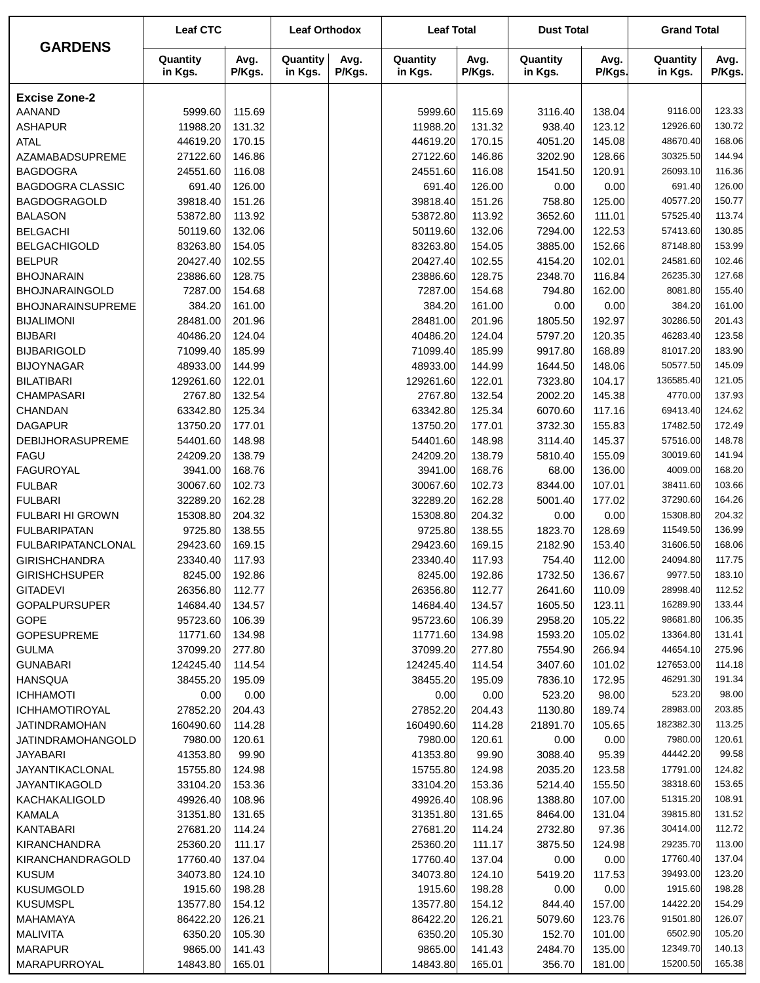|                                               | <b>Leaf CTC</b>      |                  | <b>Leaf Orthodox</b> |                | <b>Leaf Total</b>    |                  | <b>Dust Total</b>   |                  | <b>Grand Total</b>   |                  |
|-----------------------------------------------|----------------------|------------------|----------------------|----------------|----------------------|------------------|---------------------|------------------|----------------------|------------------|
| <b>GARDENS</b>                                | Quantity<br>in Kgs.  | Avg.<br>P/Kgs.   | Quantity<br>in Kgs.  | Avg.<br>P/Kgs. | Quantity<br>in Kgs.  | Avg.<br>P/Kgs.   | Quantity<br>in Kgs. | Avg.<br>P/Kgs.   | Quantity<br>in Kgs.  | Avg.<br>P/Kgs.   |
| <b>Excise Zone-2</b>                          |                      |                  |                      |                |                      |                  |                     |                  |                      |                  |
| <b>AANAND</b>                                 | 5999.60              | 115.69           |                      |                | 5999.60              | 115.69           | 3116.40             | 138.04           | 9116.00              | 123.33           |
| <b>ASHAPUR</b>                                | 11988.20             | 131.32           |                      |                | 11988.20             | 131.32           | 938.40              | 123.12           | 12926.60             | 130.72           |
| <b>ATAL</b>                                   | 44619.20             | 170.15           |                      |                | 44619.20             | 170.15           | 4051.20             | 145.08           | 48670.40             | 168.06           |
| AZAMABADSUPREME                               | 27122.60             | 146.86           |                      |                | 27122.60             | 146.86           | 3202.90             | 128.66           | 30325.50             | 144.94           |
| <b>BAGDOGRA</b>                               | 24551.60             | 116.08           |                      |                | 24551.60             | 116.08           | 1541.50             | 120.91           | 26093.10             | 116.36           |
| <b>BAGDOGRA CLASSIC</b>                       | 691.40               | 126.00           |                      |                | 691.40               | 126.00           | 0.00                | 0.00             | 691.40               | 126.00           |
| <b>BAGDOGRAGOLD</b>                           | 39818.40             | 151.26           |                      |                | 39818.40             | 151.26           | 758.80              | 125.00           | 40577.20             | 150.77           |
| <b>BALASON</b>                                | 53872.80             | 113.92           |                      |                | 53872.80             | 113.92           | 3652.60             | 111.01           | 57525.40             | 113.74           |
| <b>BELGACHI</b>                               | 50119.60             | 132.06           |                      |                | 50119.60             | 132.06           | 7294.00             | 122.53           | 57413.60             | 130.85           |
| <b>BELGACHIGOLD</b>                           | 83263.80             | 154.05           |                      |                | 83263.80             | 154.05           | 3885.00             | 152.66           | 87148.80             | 153.99           |
| <b>BELPUR</b>                                 | 20427.40             | 102.55           |                      |                | 20427.40             | 102.55           | 4154.20             | 102.01           | 24581.60             | 102.46           |
| <b>BHOJNARAIN</b>                             | 23886.60             | 128.75<br>154.68 |                      |                | 23886.60             | 128.75           | 2348.70             | 116.84           | 26235.30<br>8081.80  | 127.68           |
| <b>BHOJNARAINGOLD</b>                         | 7287.00<br>384.20    | 161.00           |                      |                | 7287.00<br>384.20    | 154.68<br>161.00 | 794.80<br>0.00      | 162.00           | 384.20               | 155.40<br>161.00 |
| <b>BHOJNARAINSUPREME</b><br><b>BIJALIMONI</b> | 28481.00             | 201.96           |                      |                | 28481.00             | 201.96           | 1805.50             | 0.00<br>192.97   | 30286.50             | 201.43           |
| <b>BIJBARI</b>                                | 40486.20             | 124.04           |                      |                | 40486.20             | 124.04           | 5797.20             | 120.35           | 46283.40             | 123.58           |
| <b>BIJBARIGOLD</b>                            | 71099.40             | 185.99           |                      |                | 71099.40             | 185.99           | 9917.80             | 168.89           | 81017.20             | 183.90           |
| <b>BIJOYNAGAR</b>                             | 48933.00             | 144.99           |                      |                | 48933.00             | 144.99           | 1644.50             | 148.06           | 50577.50             | 145.09           |
| <b>BILATIBARI</b>                             | 129261.60            | 122.01           |                      |                | 129261.60            | 122.01           | 7323.80             | 104.17           | 136585.40            | 121.05           |
| <b>CHAMPASARI</b>                             | 2767.80              | 132.54           |                      |                | 2767.80              | 132.54           | 2002.20             | 145.38           | 4770.00              | 137.93           |
| CHANDAN                                       | 63342.80             | 125.34           |                      |                | 63342.80             | 125.34           | 6070.60             | 117.16           | 69413.40             | 124.62           |
| <b>DAGAPUR</b>                                | 13750.20             | 177.01           |                      |                | 13750.20             | 177.01           | 3732.30             | 155.83           | 17482.50             | 172.49           |
| <b>DEBIJHORASUPREME</b>                       | 54401.60             | 148.98           |                      |                | 54401.60             | 148.98           | 3114.40             | 145.37           | 57516.00             | 148.78           |
| <b>FAGU</b>                                   | 24209.20             | 138.79           |                      |                | 24209.20             | 138.79           | 5810.40             | 155.09           | 30019.60             | 141.94           |
| <b>FAGUROYAL</b>                              | 3941.00              | 168.76           |                      |                | 3941.00              | 168.76           | 68.00               | 136.00           | 4009.00              | 168.20           |
| <b>FULBAR</b>                                 | 30067.60             | 102.73           |                      |                | 30067.60             | 102.73           | 8344.00             | 107.01           | 38411.60             | 103.66           |
| <b>FULBARI</b>                                | 32289.20             | 162.28           |                      |                | 32289.20             | 162.28           | 5001.40             | 177.02           | 37290.60             | 164.26           |
| <b>FULBARI HI GROWN</b>                       | 15308.80             | 204.32           |                      |                | 15308.80             | 204.32           | 0.00                | 0.00             | 15308.80             | 204.32           |
| <b>FULBARIPATAN</b>                           | 9725.80              | 138.55           |                      |                | 9725.80              | 138.55           | 1823.70             | 128.69           | 11549.50             | 136.99           |
| <b>FULBARIPATANCLONAL</b>                     | 29423.60             | 169.15           |                      |                | 29423.60             | 169.15           | 2182.90             | 153.40           | 31606.50             | 168.06           |
| <b>GIRISHCHANDRA</b>                          | 23340.40             | 117.93           |                      |                | 23340.40             | 117.93           | 754.40              | 112.00           | 24094.80             | 117.75           |
| <b>GIRISHCHSUPER</b>                          | 8245.00              | 192.86           |                      |                | 8245.00              | 192.86           | 1732.50             | 136.67           | 9977.50              | 183.10           |
| <b>GITADEVI</b>                               | 26356.80             | 112.77           |                      |                | 26356.80             | 112.77           | 2641.60             | 110.09           | 28998.40             | 112.52           |
| <b>GOPALPURSUPER</b>                          | 14684.40             | 134.57           |                      |                | 14684.40             | 134.57           | 1605.50             | 123.11           | 16289.90<br>98681.80 | 133.44<br>106.35 |
| <b>GOPE</b><br><b>GOPESUPREME</b>             | 95723.60<br>11771.60 | 106.39<br>134.98 |                      |                | 95723.60<br>11771.60 | 106.39<br>134.98 | 2958.20<br>1593.20  | 105.22<br>105.02 | 13364.80             | 131.41           |
| <b>GULMA</b>                                  | 37099.20             | 277.80           |                      |                | 37099.20             | 277.80           | 7554.90             | 266.94           | 44654.10             | 275.96           |
| <b>GUNABARI</b>                               | 124245.40            | 114.54           |                      |                | 124245.40            | 114.54           | 3407.60             | 101.02           | 127653.00            | 114.18           |
| HANSQUA                                       | 38455.20             | 195.09           |                      |                | 38455.20             | 195.09           | 7836.10             | 172.95           | 46291.30             | 191.34           |
| <b>ICHHAMOTI</b>                              | 0.00                 | 0.00             |                      |                | 0.00                 | 0.00             | 523.20              | 98.00            | 523.20               | 98.00            |
| <b>ICHHAMOTIROYAL</b>                         | 27852.20             | 204.43           |                      |                | 27852.20             | 204.43           | 1130.80             | 189.74           | 28983.00             | 203.85           |
| <b>JATINDRAMOHAN</b>                          | 160490.60            | 114.28           |                      |                | 160490.60            | 114.28           | 21891.70            | 105.65           | 182382.30            | 113.25           |
| <b>JATINDRAMOHANGOLD</b>                      | 7980.00              | 120.61           |                      |                | 7980.00              | 120.61           | 0.00                | 0.00             | 7980.00              | 120.61           |
| JAYABARI                                      | 41353.80             | 99.90            |                      |                | 41353.80             | 99.90            | 3088.40             | 95.39            | 44442.20             | 99.58            |
| JAYANTIKACLONAL                               | 15755.80             | 124.98           |                      |                | 15755.80             | 124.98           | 2035.20             | 123.58           | 17791.00             | 124.82           |
| JAYANTIKAGOLD                                 | 33104.20             | 153.36           |                      |                | 33104.20             | 153.36           | 5214.40             | 155.50           | 38318.60             | 153.65           |
| KACHAKALIGOLD                                 | 49926.40             | 108.96           |                      |                | 49926.40             | 108.96           | 1388.80             | 107.00           | 51315.20             | 108.91           |
| <b>KAMALA</b>                                 | 31351.80             | 131.65           |                      |                | 31351.80             | 131.65           | 8464.00             | 131.04           | 39815.80             | 131.52           |
| <b>KANTABARI</b>                              | 27681.20             | 114.24           |                      |                | 27681.20             | 114.24           | 2732.80             | 97.36            | 30414.00             | 112.72           |
| <b>KIRANCHANDRA</b>                           | 25360.20             | 111.17           |                      |                | 25360.20             | 111.17           | 3875.50             | 124.98           | 29235.70             | 113.00           |
| KIRANCHANDRAGOLD                              | 17760.40             | 137.04           |                      |                | 17760.40             | 137.04           | 0.00                | 0.00             | 17760.40             | 137.04           |
| <b>KUSUM</b>                                  | 34073.80             | 124.10           |                      |                | 34073.80             | 124.10           | 5419.20             | 117.53           | 39493.00             | 123.20           |
| <b>KUSUMGOLD</b>                              | 1915.60              | 198.28           |                      |                | 1915.60              | 198.28           | 0.00                | 0.00             | 1915.60<br>14422.20  | 198.28<br>154.29 |
| <b>KUSUMSPL</b><br>MAHAMAYA                   | 13577.80<br>86422.20 | 154.12<br>126.21 |                      |                | 13577.80<br>86422.20 | 154.12<br>126.21 | 844.40<br>5079.60   | 157.00<br>123.76 | 91501.80             | 126.07           |
| <b>MALIVITA</b>                               | 6350.20              | 105.30           |                      |                | 6350.20              | 105.30           | 152.70              | 101.00           | 6502.90              | 105.20           |
| <b>MARAPUR</b>                                | 9865.00              | 141.43           |                      |                | 9865.00              | 141.43           | 2484.70             | 135.00           | 12349.70             | 140.13           |
| MARAPURROYAL                                  | 14843.80             | 165.01           |                      |                | 14843.80             | 165.01           | 356.70              | 181.00           | 15200.50             | 165.38           |